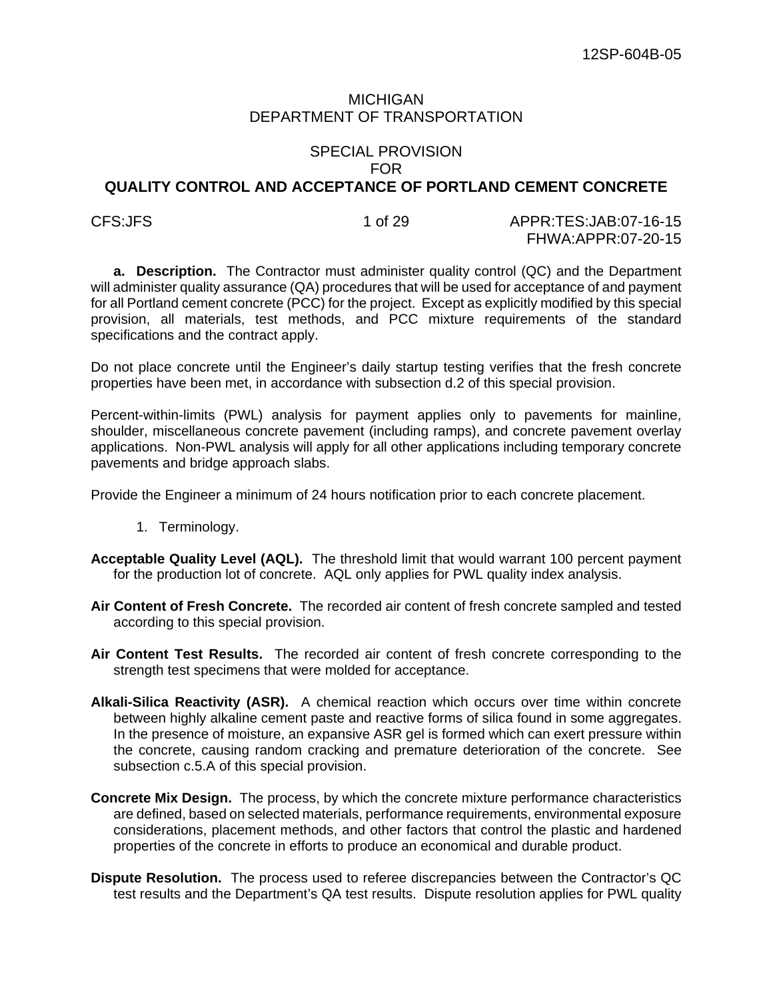# MICHIGAN DEPARTMENT OF TRANSPORTATION

#### SPECIAL PROVISION FOR

# **QUALITY CONTROL AND ACCEPTANCE OF PORTLAND CEMENT CONCRETE**

CFS:JFS 1 of 29 APPR:TES:JAB:07-16-15 FHWA:APPR:07-20-15

**a. Description.** The Contractor must administer quality control (QC) and the Department will administer quality assurance (QA) procedures that will be used for acceptance of and payment for all Portland cement concrete (PCC) for the project. Except as explicitly modified by this special provision, all materials, test methods, and PCC mixture requirements of the standard specifications and the contract apply.

Do not place concrete until the Engineer's daily startup testing verifies that the fresh concrete properties have been met, in accordance with subsection d.2 of this special provision.

Percent-within-limits (PWL) analysis for payment applies only to pavements for mainline, shoulder, miscellaneous concrete pavement (including ramps), and concrete pavement overlay applications. Non-PWL analysis will apply for all other applications including temporary concrete pavements and bridge approach slabs.

Provide the Engineer a minimum of 24 hours notification prior to each concrete placement.

- 1. Terminology.
- **Acceptable Quality Level (AQL).** The threshold limit that would warrant 100 percent payment for the production lot of concrete. AQL only applies for PWL quality index analysis.
- **Air Content of Fresh Concrete.** The recorded air content of fresh concrete sampled and tested according to this special provision.
- **Air Content Test Results.** The recorded air content of fresh concrete corresponding to the strength test specimens that were molded for acceptance.
- **Alkali-Silica Reactivity (ASR).** A chemical reaction which occurs over time within concrete between highly alkaline cement paste and reactive forms of silica found in some aggregates. In the presence of moisture, an expansive ASR gel is formed which can exert pressure within the concrete, causing random cracking and premature deterioration of the concrete. See subsection c.5.A of this special provision.
- **Concrete Mix Design.** The process, by which the concrete mixture performance characteristics are defined, based on selected materials, performance requirements, environmental exposure considerations, placement methods, and other factors that control the plastic and hardened properties of the concrete in efforts to produce an economical and durable product.
- **Dispute Resolution.** The process used to referee discrepancies between the Contractor's QC test results and the Department's QA test results. Dispute resolution applies for PWL quality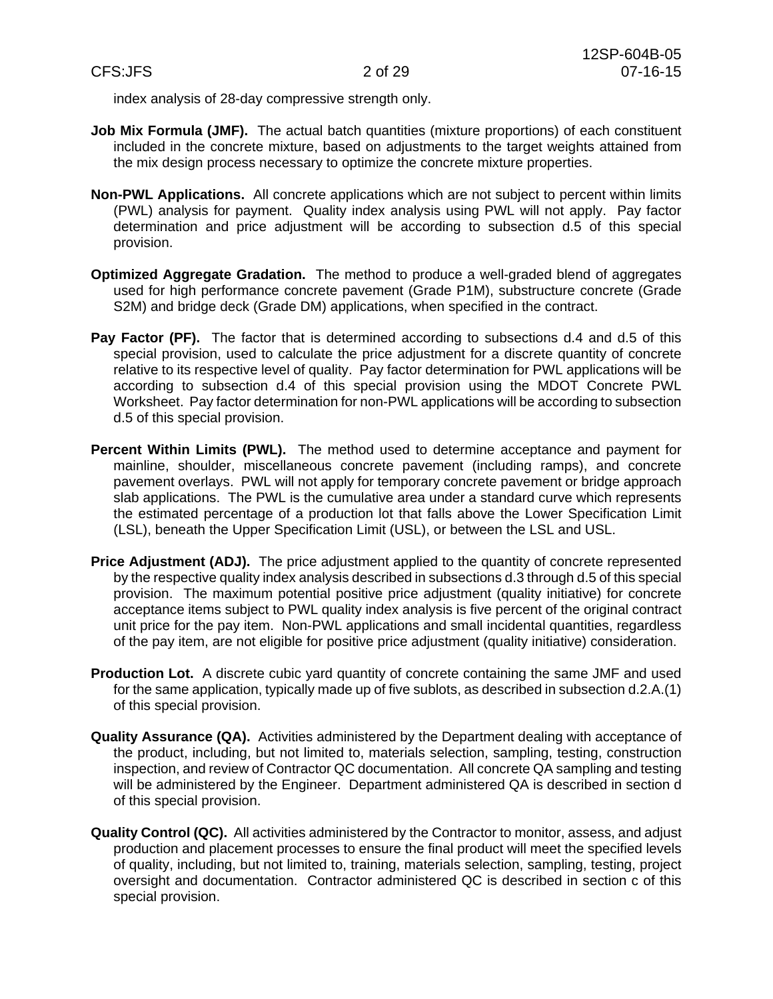index analysis of 28-day compressive strength only.

- **Job Mix Formula (JMF).** The actual batch quantities (mixture proportions) of each constituent included in the concrete mixture, based on adjustments to the target weights attained from the mix design process necessary to optimize the concrete mixture properties.
- **Non-PWL Applications.** All concrete applications which are not subject to percent within limits (PWL) analysis for payment. Quality index analysis using PWL will not apply. Pay factor determination and price adjustment will be according to subsection d.5 of this special provision.
- **Optimized Aggregate Gradation.** The method to produce a well-graded blend of aggregates used for high performance concrete pavement (Grade P1M), substructure concrete (Grade S2M) and bridge deck (Grade DM) applications, when specified in the contract.
- **Pay Factor (PF).** The factor that is determined according to subsections d.4 and d.5 of this special provision, used to calculate the price adjustment for a discrete quantity of concrete relative to its respective level of quality. Pay factor determination for PWL applications will be according to subsection d.4 of this special provision using the MDOT Concrete PWL Worksheet. Pay factor determination for non-PWL applications will be according to subsection d.5 of this special provision.
- **Percent Within Limits (PWL).** The method used to determine acceptance and payment for mainline, shoulder, miscellaneous concrete pavement (including ramps), and concrete pavement overlays. PWL will not apply for temporary concrete pavement or bridge approach slab applications. The PWL is the cumulative area under a standard curve which represents the estimated percentage of a production lot that falls above the Lower Specification Limit (LSL), beneath the Upper Specification Limit (USL), or between the LSL and USL.
- **Price Adjustment (ADJ).** The price adjustment applied to the quantity of concrete represented by the respective quality index analysis described in subsections d.3 through d.5 of this special provision. The maximum potential positive price adjustment (quality initiative) for concrete acceptance items subject to PWL quality index analysis is five percent of the original contract unit price for the pay item. Non-PWL applications and small incidental quantities, regardless of the pay item, are not eligible for positive price adjustment (quality initiative) consideration.
- **Production Lot.** A discrete cubic yard quantity of concrete containing the same JMF and used for the same application, typically made up of five sublots, as described in subsection d.2.A.(1) of this special provision.
- **Quality Assurance (QA).** Activities administered by the Department dealing with acceptance of the product, including, but not limited to, materials selection, sampling, testing, construction inspection, and review of Contractor QC documentation. All concrete QA sampling and testing will be administered by the Engineer. Department administered QA is described in section d of this special provision.
- **Quality Control (QC).** All activities administered by the Contractor to monitor, assess, and adjust production and placement processes to ensure the final product will meet the specified levels of quality, including, but not limited to, training, materials selection, sampling, testing, project oversight and documentation. Contractor administered QC is described in section c of this special provision.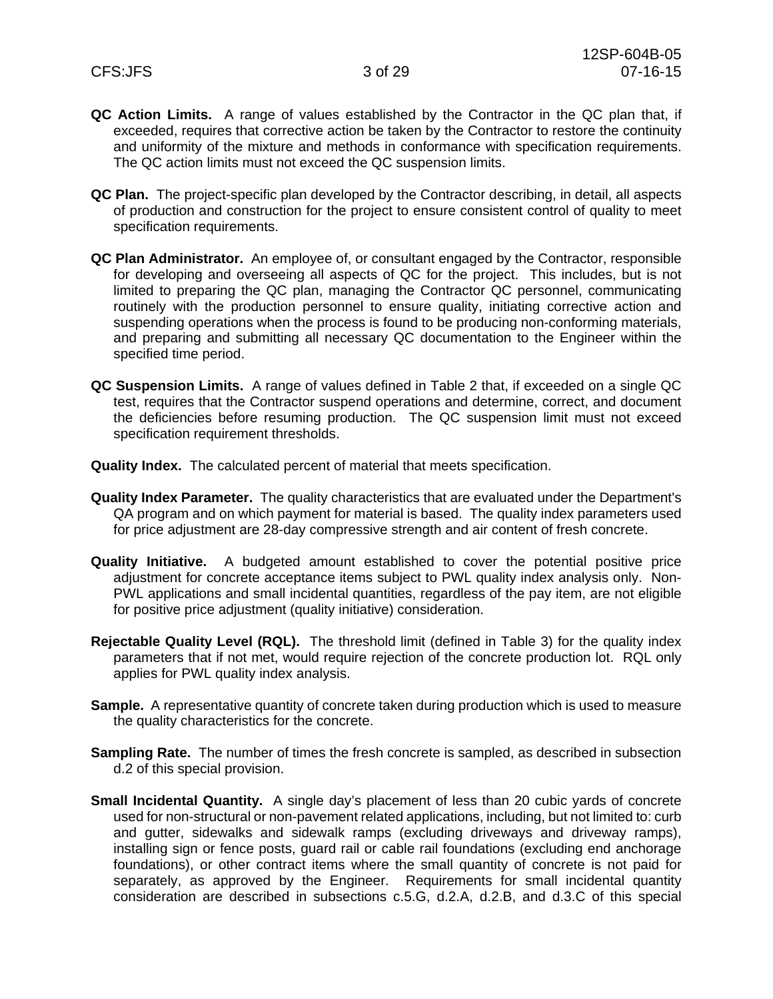- **QC Action Limits.** A range of values established by the Contractor in the QC plan that, if exceeded, requires that corrective action be taken by the Contractor to restore the continuity and uniformity of the mixture and methods in conformance with specification requirements. The QC action limits must not exceed the QC suspension limits.
- **QC Plan.** The project-specific plan developed by the Contractor describing, in detail, all aspects of production and construction for the project to ensure consistent control of quality to meet specification requirements.
- **QC Plan Administrator.** An employee of, or consultant engaged by the Contractor, responsible for developing and overseeing all aspects of QC for the project. This includes, but is not limited to preparing the QC plan, managing the Contractor QC personnel, communicating routinely with the production personnel to ensure quality, initiating corrective action and suspending operations when the process is found to be producing non-conforming materials, and preparing and submitting all necessary QC documentation to the Engineer within the specified time period.
- **QC Suspension Limits.** A range of values defined in Table 2 that, if exceeded on a single QC test, requires that the Contractor suspend operations and determine, correct, and document the deficiencies before resuming production. The QC suspension limit must not exceed specification requirement thresholds.
- **Quality Index.** The calculated percent of material that meets specification.
- **Quality Index Parameter.** The quality characteristics that are evaluated under the Department's QA program and on which payment for material is based. The quality index parameters used for price adjustment are 28-day compressive strength and air content of fresh concrete.
- **Quality Initiative.** A budgeted amount established to cover the potential positive price adjustment for concrete acceptance items subject to PWL quality index analysis only. Non-PWL applications and small incidental quantities, regardless of the pay item, are not eligible for positive price adjustment (quality initiative) consideration.
- **Rejectable Quality Level (RQL).** The threshold limit (defined in Table 3) for the quality index parameters that if not met, would require rejection of the concrete production lot. RQL only applies for PWL quality index analysis.
- **Sample.** A representative quantity of concrete taken during production which is used to measure the quality characteristics for the concrete.
- **Sampling Rate.** The number of times the fresh concrete is sampled, as described in subsection d.2 of this special provision.
- **Small Incidental Quantity.** A single day's placement of less than 20 cubic yards of concrete used for non-structural or non-pavement related applications, including, but not limited to: curb and gutter, sidewalks and sidewalk ramps (excluding driveways and driveway ramps), installing sign or fence posts, guard rail or cable rail foundations (excluding end anchorage foundations), or other contract items where the small quantity of concrete is not paid for separately, as approved by the Engineer. Requirements for small incidental quantity consideration are described in subsections c.5.G, d.2.A, d.2.B, and d.3.C of this special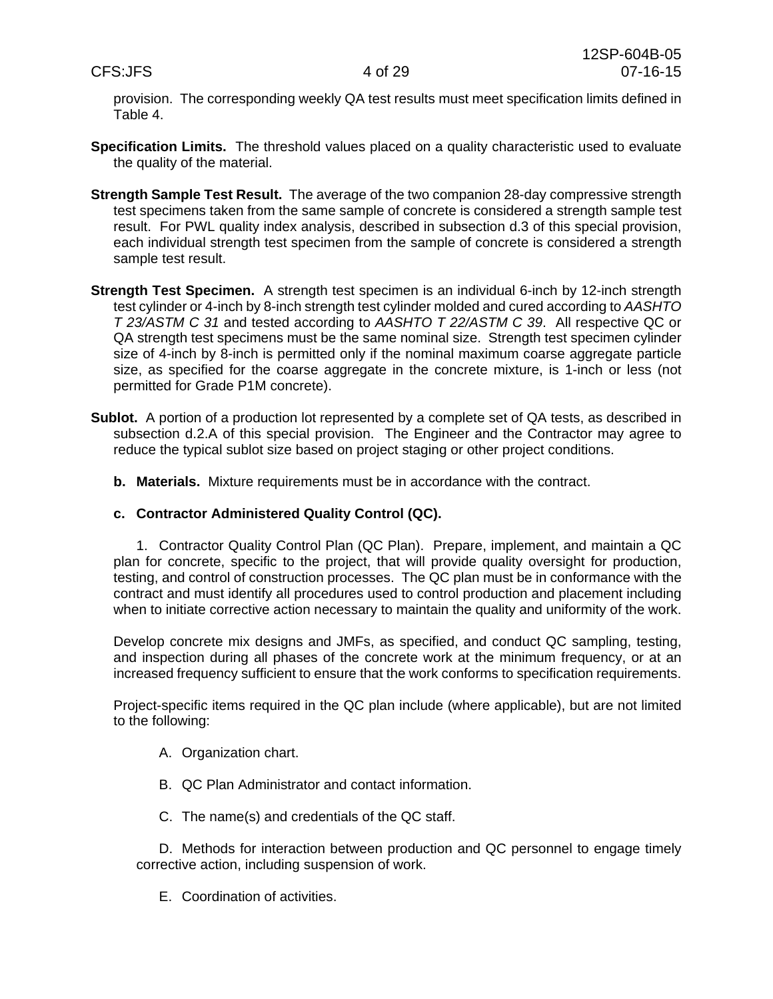provision. The corresponding weekly QA test results must meet specification limits defined in Table 4.

- **Specification Limits.** The threshold values placed on a quality characteristic used to evaluate the quality of the material.
- **Strength Sample Test Result.** The average of the two companion 28-day compressive strength test specimens taken from the same sample of concrete is considered a strength sample test result. For PWL quality index analysis, described in subsection d.3 of this special provision, each individual strength test specimen from the sample of concrete is considered a strength sample test result.
- **Strength Test Specimen.** A strength test specimen is an individual 6-inch by 12-inch strength test cylinder or 4-inch by 8-inch strength test cylinder molded and cured according to *AASHTO T 23/ASTM C 31* and tested according to *AASHTO T 22/ASTM C 39*. All respective QC or QA strength test specimens must be the same nominal size. Strength test specimen cylinder size of 4-inch by 8-inch is permitted only if the nominal maximum coarse aggregate particle size, as specified for the coarse aggregate in the concrete mixture, is 1-inch or less (not permitted for Grade P1M concrete).
- **Sublot.** A portion of a production lot represented by a complete set of QA tests, as described in subsection d.2.A of this special provision. The Engineer and the Contractor may agree to reduce the typical sublot size based on project staging or other project conditions.
	- **b. Materials.** Mixture requirements must be in accordance with the contract.

# **c. Contractor Administered Quality Control (QC).**

1. Contractor Quality Control Plan (QC Plan). Prepare, implement, and maintain a QC plan for concrete, specific to the project, that will provide quality oversight for production, testing, and control of construction processes. The QC plan must be in conformance with the contract and must identify all procedures used to control production and placement including when to initiate corrective action necessary to maintain the quality and uniformity of the work.

Develop concrete mix designs and JMFs, as specified, and conduct QC sampling, testing, and inspection during all phases of the concrete work at the minimum frequency, or at an increased frequency sufficient to ensure that the work conforms to specification requirements.

Project-specific items required in the QC plan include (where applicable), but are not limited to the following:

- A. Organization chart.
- B. QC Plan Administrator and contact information.
- C. The name(s) and credentials of the QC staff.

D. Methods for interaction between production and QC personnel to engage timely corrective action, including suspension of work.

E. Coordination of activities.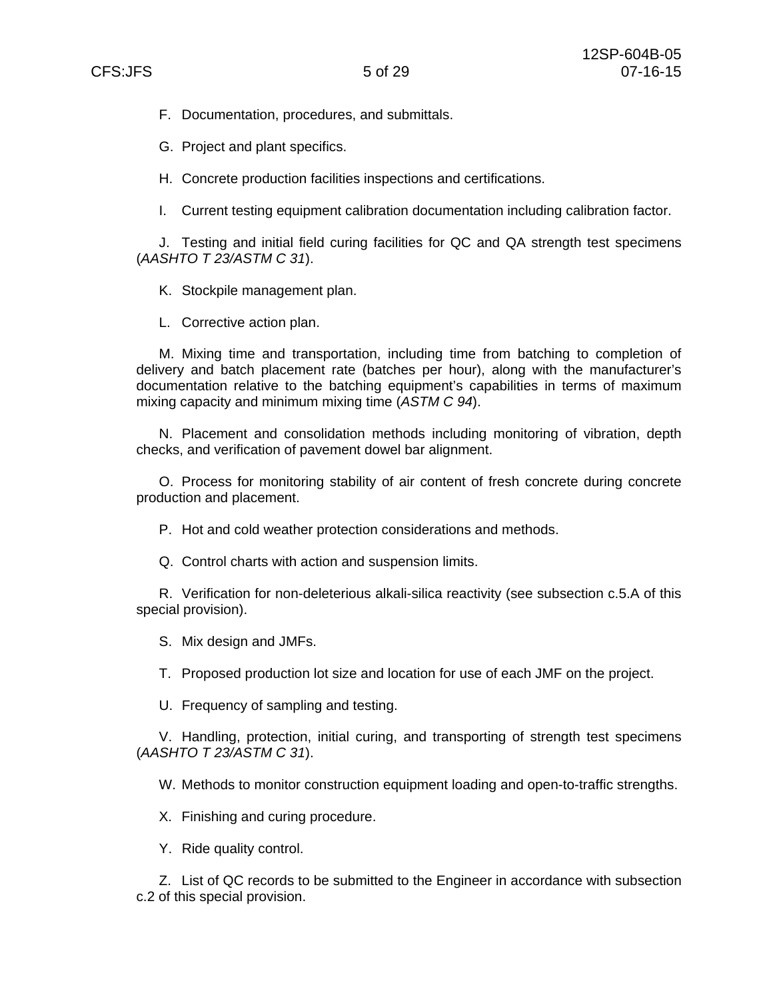F. Documentation, procedures, and submittals.

G. Project and plant specifics.

H. Concrete production facilities inspections and certifications.

I. Current testing equipment calibration documentation including calibration factor.

J. Testing and initial field curing facilities for QC and QA strength test specimens (*AASHTO T 23/ASTM C 31*).

K. Stockpile management plan.

L. Corrective action plan.

M. Mixing time and transportation, including time from batching to completion of delivery and batch placement rate (batches per hour), along with the manufacturer's documentation relative to the batching equipment's capabilities in terms of maximum mixing capacity and minimum mixing time (*ASTM C 94*).

N. Placement and consolidation methods including monitoring of vibration, depth checks, and verification of pavement dowel bar alignment.

O. Process for monitoring stability of air content of fresh concrete during concrete production and placement.

P. Hot and cold weather protection considerations and methods.

Q. Control charts with action and suspension limits.

R. Verification for non-deleterious alkali-silica reactivity (see subsection c.5.A of this special provision).

S. Mix design and JMFs.

T. Proposed production lot size and location for use of each JMF on the project.

U. Frequency of sampling and testing.

V. Handling, protection, initial curing, and transporting of strength test specimens (*AASHTO T 23/ASTM C 31*).

W. Methods to monitor construction equipment loading and open-to-traffic strengths.

X. Finishing and curing procedure.

Y. Ride quality control.

Z. List of QC records to be submitted to the Engineer in accordance with subsection c.2 of this special provision.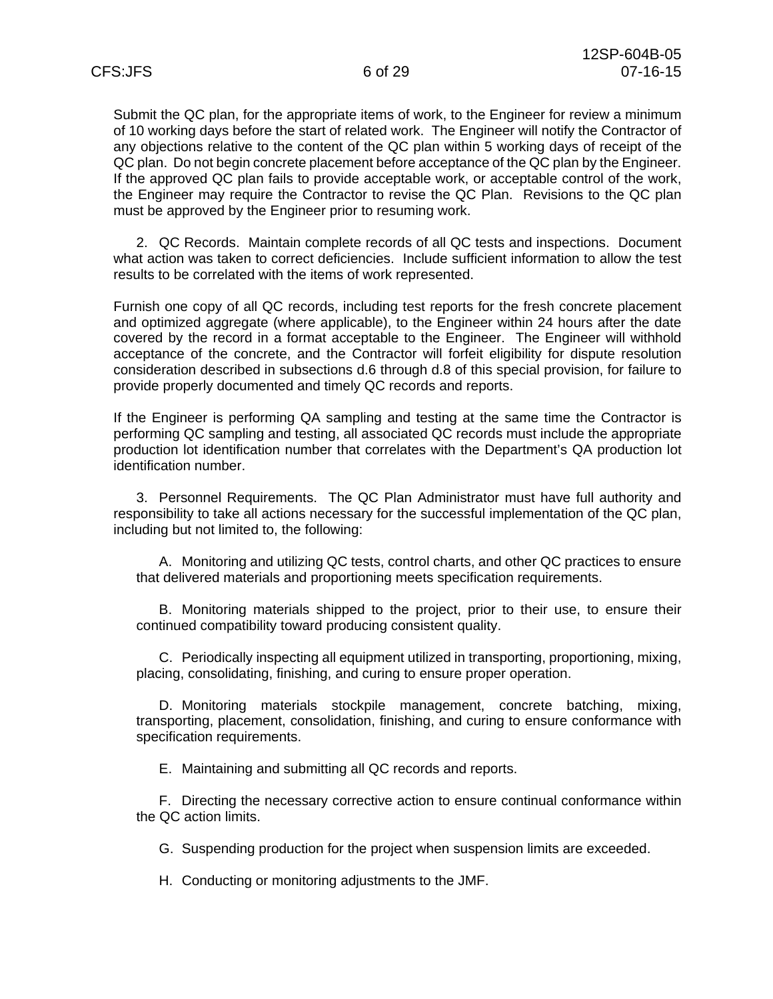Submit the QC plan, for the appropriate items of work, to the Engineer for review a minimum of 10 working days before the start of related work. The Engineer will notify the Contractor of any objections relative to the content of the QC plan within 5 working days of receipt of the QC plan. Do not begin concrete placement before acceptance of the QC plan by the Engineer. If the approved QC plan fails to provide acceptable work, or acceptable control of the work, the Engineer may require the Contractor to revise the QC Plan. Revisions to the QC plan must be approved by the Engineer prior to resuming work.

2. QC Records. Maintain complete records of all QC tests and inspections. Document what action was taken to correct deficiencies. Include sufficient information to allow the test results to be correlated with the items of work represented.

Furnish one copy of all QC records, including test reports for the fresh concrete placement and optimized aggregate (where applicable), to the Engineer within 24 hours after the date covered by the record in a format acceptable to the Engineer. The Engineer will withhold acceptance of the concrete, and the Contractor will forfeit eligibility for dispute resolution consideration described in subsections d.6 through d.8 of this special provision, for failure to provide properly documented and timely QC records and reports.

If the Engineer is performing QA sampling and testing at the same time the Contractor is performing QC sampling and testing, all associated QC records must include the appropriate production lot identification number that correlates with the Department's QA production lot identification number.

3. Personnel Requirements. The QC Plan Administrator must have full authority and responsibility to take all actions necessary for the successful implementation of the QC plan, including but not limited to, the following:

A. Monitoring and utilizing QC tests, control charts, and other QC practices to ensure that delivered materials and proportioning meets specification requirements.

B. Monitoring materials shipped to the project, prior to their use, to ensure their continued compatibility toward producing consistent quality.

C. Periodically inspecting all equipment utilized in transporting, proportioning, mixing, placing, consolidating, finishing, and curing to ensure proper operation.

D. Monitoring materials stockpile management, concrete batching, mixing, transporting, placement, consolidation, finishing, and curing to ensure conformance with specification requirements.

E. Maintaining and submitting all QC records and reports.

F. Directing the necessary corrective action to ensure continual conformance within the QC action limits.

G. Suspending production for the project when suspension limits are exceeded.

H. Conducting or monitoring adjustments to the JMF.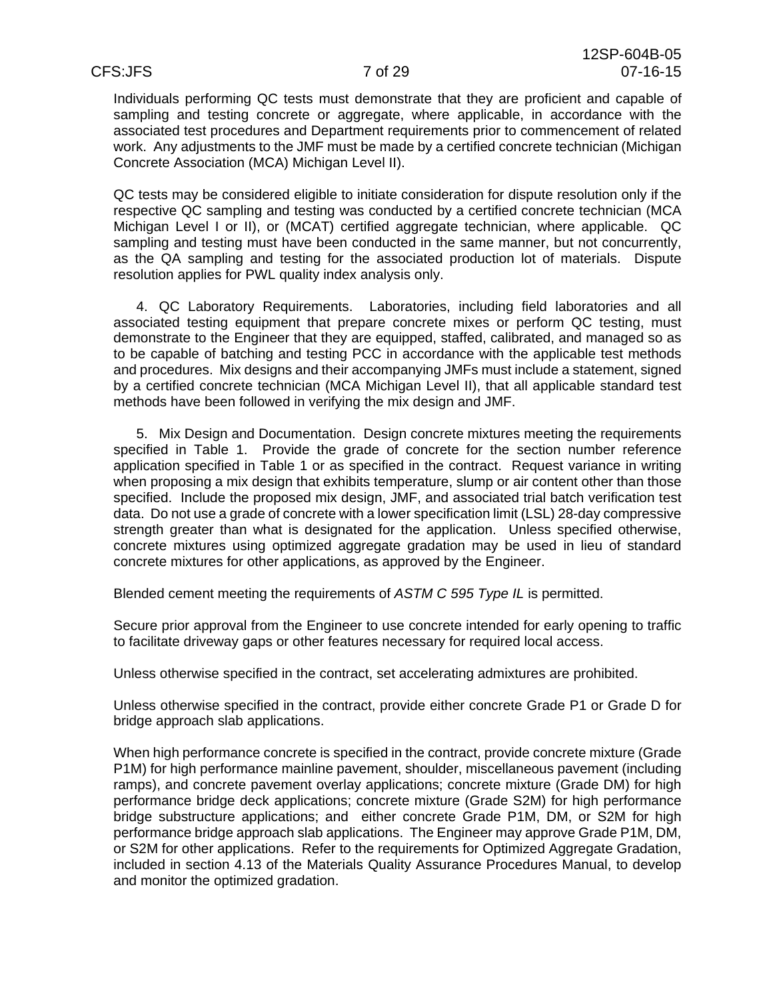Individuals performing QC tests must demonstrate that they are proficient and capable of sampling and testing concrete or aggregate, where applicable, in accordance with the associated test procedures and Department requirements prior to commencement of related work. Any adjustments to the JMF must be made by a certified concrete technician (Michigan Concrete Association (MCA) Michigan Level II).

QC tests may be considered eligible to initiate consideration for dispute resolution only if the respective QC sampling and testing was conducted by a certified concrete technician (MCA Michigan Level I or II), or (MCAT) certified aggregate technician, where applicable. QC sampling and testing must have been conducted in the same manner, but not concurrently, as the QA sampling and testing for the associated production lot of materials. Dispute resolution applies for PWL quality index analysis only.

4. QC Laboratory Requirements. Laboratories, including field laboratories and all associated testing equipment that prepare concrete mixes or perform QC testing, must demonstrate to the Engineer that they are equipped, staffed, calibrated, and managed so as to be capable of batching and testing PCC in accordance with the applicable test methods and procedures. Mix designs and their accompanying JMFs must include a statement, signed by a certified concrete technician (MCA Michigan Level II), that all applicable standard test methods have been followed in verifying the mix design and JMF.

5. Mix Design and Documentation. Design concrete mixtures meeting the requirements specified in Table 1. Provide the grade of concrete for the section number reference application specified in Table 1 or as specified in the contract. Request variance in writing when proposing a mix design that exhibits temperature, slump or air content other than those specified. Include the proposed mix design, JMF, and associated trial batch verification test data. Do not use a grade of concrete with a lower specification limit (LSL) 28-day compressive strength greater than what is designated for the application. Unless specified otherwise, concrete mixtures using optimized aggregate gradation may be used in lieu of standard concrete mixtures for other applications, as approved by the Engineer.

Blended cement meeting the requirements of *ASTM C 595 Type IL* is permitted.

Secure prior approval from the Engineer to use concrete intended for early opening to traffic to facilitate driveway gaps or other features necessary for required local access.

Unless otherwise specified in the contract, set accelerating admixtures are prohibited.

Unless otherwise specified in the contract, provide either concrete Grade P1 or Grade D for bridge approach slab applications.

When high performance concrete is specified in the contract, provide concrete mixture (Grade P1M) for high performance mainline pavement, shoulder, miscellaneous pavement (including ramps), and concrete pavement overlay applications; concrete mixture (Grade DM) for high performance bridge deck applications; concrete mixture (Grade S2M) for high performance bridge substructure applications; and either concrete Grade P1M, DM, or S2M for high performance bridge approach slab applications. The Engineer may approve Grade P1M, DM, or S2M for other applications. Refer to the requirements for Optimized Aggregate Gradation, included in section 4.13 of the Materials Quality Assurance Procedures Manual, to develop and monitor the optimized gradation.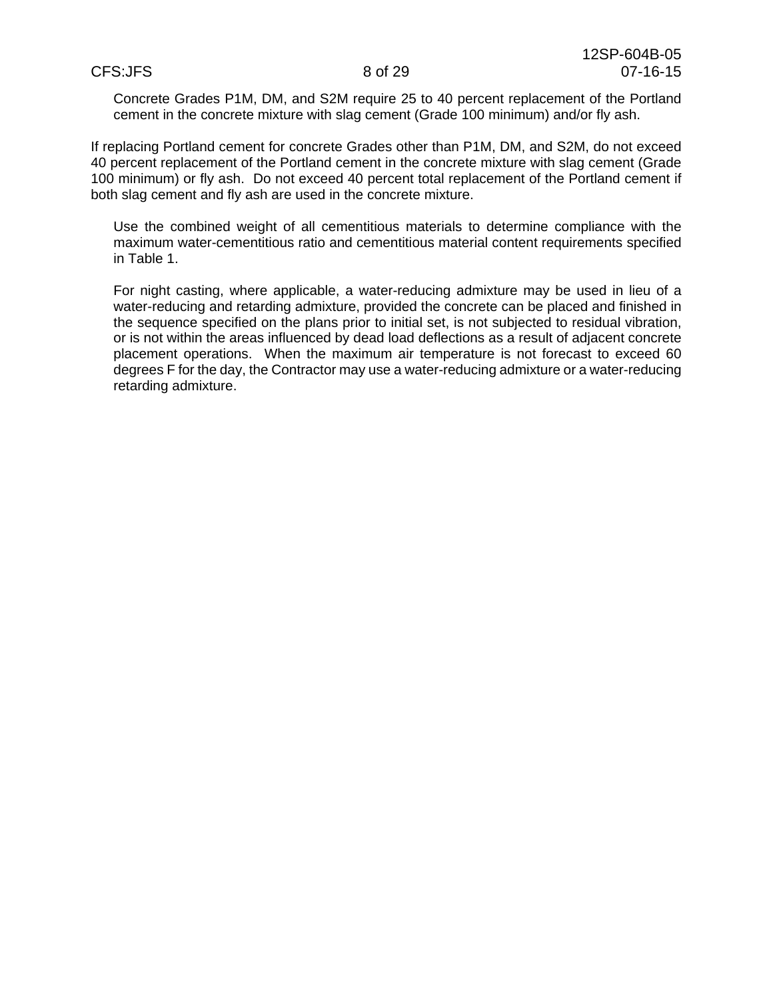Concrete Grades P1M, DM, and S2M require 25 to 40 percent replacement of the Portland cement in the concrete mixture with slag cement (Grade 100 minimum) and/or fly ash.

If replacing Portland cement for concrete Grades other than P1M, DM, and S2M, do not exceed 40 percent replacement of the Portland cement in the concrete mixture with slag cement (Grade 100 minimum) or fly ash. Do not exceed 40 percent total replacement of the Portland cement if both slag cement and fly ash are used in the concrete mixture.

Use the combined weight of all cementitious materials to determine compliance with the maximum water-cementitious ratio and cementitious material content requirements specified in Table 1.

For night casting, where applicable, a water-reducing admixture may be used in lieu of a water-reducing and retarding admixture, provided the concrete can be placed and finished in the sequence specified on the plans prior to initial set, is not subjected to residual vibration, or is not within the areas influenced by dead load deflections as a result of adjacent concrete placement operations. When the maximum air temperature is not forecast to exceed 60 degrees F for the day, the Contractor may use a water-reducing admixture or a water-reducing retarding admixture.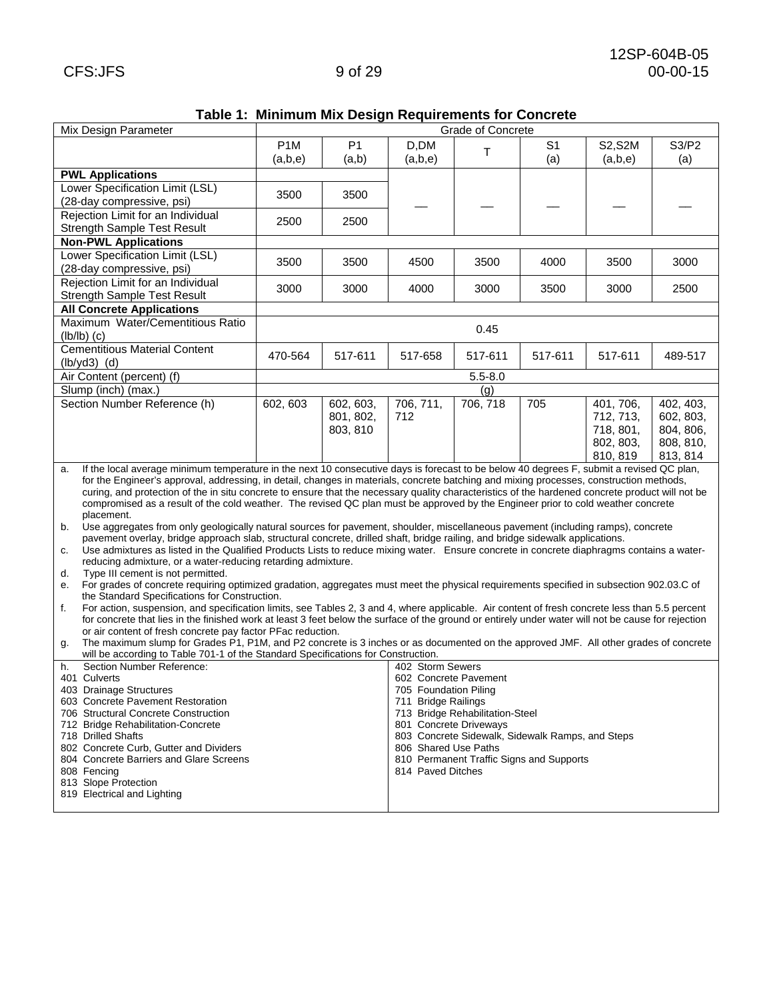|  |  | Table 1: Minimum Mix Design Requirements for Concrete |  |
|--|--|-------------------------------------------------------|--|
|  |  |                                                       |  |

| Mix Design Parameter                                                                                                                                                                                                                                                                                        |                  |                                                                                                                                          |                                                               | Grade of Concrete |                |           |                         |  |
|-------------------------------------------------------------------------------------------------------------------------------------------------------------------------------------------------------------------------------------------------------------------------------------------------------------|------------------|------------------------------------------------------------------------------------------------------------------------------------------|---------------------------------------------------------------|-------------------|----------------|-----------|-------------------------|--|
|                                                                                                                                                                                                                                                                                                             |                  |                                                                                                                                          |                                                               |                   |                |           |                         |  |
|                                                                                                                                                                                                                                                                                                             | P <sub>1</sub> M | P <sub>1</sub>                                                                                                                           | D,DM                                                          | $\top$            | S <sub>1</sub> | S2, S2M   | S3/P2                   |  |
|                                                                                                                                                                                                                                                                                                             | (a,b,e)          | (a,b)                                                                                                                                    | (a,b,e)                                                       |                   | (a)            | (a,b,e)   | (a)                     |  |
| <b>PWL Applications</b>                                                                                                                                                                                                                                                                                     |                  |                                                                                                                                          |                                                               |                   |                |           |                         |  |
| Lower Specification Limit (LSL)                                                                                                                                                                                                                                                                             |                  |                                                                                                                                          |                                                               |                   |                |           |                         |  |
| (28-day compressive, psi)                                                                                                                                                                                                                                                                                   | 3500             | 3500                                                                                                                                     |                                                               |                   |                |           |                         |  |
| Rejection Limit for an Individual                                                                                                                                                                                                                                                                           |                  |                                                                                                                                          |                                                               |                   |                |           |                         |  |
| <b>Strength Sample Test Result</b>                                                                                                                                                                                                                                                                          | 2500             | 2500                                                                                                                                     |                                                               |                   |                |           |                         |  |
| <b>Non-PWL Applications</b>                                                                                                                                                                                                                                                                                 |                  |                                                                                                                                          |                                                               |                   |                |           |                         |  |
| Lower Specification Limit (LSL)                                                                                                                                                                                                                                                                             |                  |                                                                                                                                          |                                                               |                   |                |           |                         |  |
|                                                                                                                                                                                                                                                                                                             | 3500             | 3500                                                                                                                                     | 4500                                                          | 3500              | 4000           | 3500      | 3000                    |  |
| (28-day compressive, psi)                                                                                                                                                                                                                                                                                   |                  |                                                                                                                                          |                                                               |                   |                |           |                         |  |
| Rejection Limit for an Individual                                                                                                                                                                                                                                                                           | 3000             | 3000                                                                                                                                     | 4000                                                          | 3000              | 3500           | 3000      | 2500                    |  |
| <b>Strength Sample Test Result</b>                                                                                                                                                                                                                                                                          |                  |                                                                                                                                          |                                                               |                   |                |           |                         |  |
| <b>All Concrete Applications</b>                                                                                                                                                                                                                                                                            |                  |                                                                                                                                          |                                                               |                   |                |           |                         |  |
| Maximum Water/Cementitious Ratio                                                                                                                                                                                                                                                                            |                  |                                                                                                                                          |                                                               | 0.45              |                |           |                         |  |
| $(lb/lb)$ (c)                                                                                                                                                                                                                                                                                               |                  |                                                                                                                                          |                                                               |                   |                |           |                         |  |
| <b>Cementitious Material Content</b>                                                                                                                                                                                                                                                                        | 470-564          | 517-611                                                                                                                                  | 517-658                                                       | 517-611           | 517-611        | 517-611   | 489-517                 |  |
| $(lb/yd3)$ (d)                                                                                                                                                                                                                                                                                              |                  |                                                                                                                                          |                                                               |                   |                |           |                         |  |
| Air Content (percent) (f)                                                                                                                                                                                                                                                                                   |                  |                                                                                                                                          |                                                               | $5.5 - 8.0$       |                |           |                         |  |
| Slump (inch) (max.)                                                                                                                                                                                                                                                                                         |                  |                                                                                                                                          |                                                               | (g)               |                |           |                         |  |
| Section Number Reference (h)                                                                                                                                                                                                                                                                                | 602, 603         | 602, 603,                                                                                                                                | 706, 711,                                                     | 706, 718          | 705            | 401, 706, | $\overline{402}$ , 403, |  |
|                                                                                                                                                                                                                                                                                                             |                  | 801, 802,                                                                                                                                | 712                                                           |                   |                | 712, 713, | 602, 803,               |  |
|                                                                                                                                                                                                                                                                                                             |                  | 803, 810                                                                                                                                 |                                                               |                   |                | 718, 801, | 804, 806,               |  |
|                                                                                                                                                                                                                                                                                                             |                  |                                                                                                                                          |                                                               |                   |                | 802, 803, | 808, 810,               |  |
|                                                                                                                                                                                                                                                                                                             |                  |                                                                                                                                          |                                                               |                   |                | 810, 819  | 813, 814                |  |
| If the local average minimum temperature in the next 10 consecutive days is forecast to be below 40 degrees F, submit a revised QC plan,<br>a.                                                                                                                                                              |                  |                                                                                                                                          |                                                               |                   |                |           |                         |  |
| for the Engineer's approval, addressing, in detail, changes in materials, concrete batching and mixing processes, construction methods,                                                                                                                                                                     |                  |                                                                                                                                          |                                                               |                   |                |           |                         |  |
| curing, and protection of the in situ concrete to ensure that the necessary quality characteristics of the hardened concrete product will not be                                                                                                                                                            |                  |                                                                                                                                          |                                                               |                   |                |           |                         |  |
|                                                                                                                                                                                                                                                                                                             |                  | compromised as a result of the cold weather. The revised QC plan must be approved by the Engineer prior to cold weather concrete         |                                                               |                   |                |           |                         |  |
| placement.                                                                                                                                                                                                                                                                                                  |                  |                                                                                                                                          |                                                               |                   |                |           |                         |  |
| Use aggregates from only geologically natural sources for pavement, shoulder, miscellaneous pavement (including ramps), concrete<br>b.                                                                                                                                                                      |                  |                                                                                                                                          |                                                               |                   |                |           |                         |  |
| pavement overlay, bridge approach slab, structural concrete, drilled shaft, bridge railing, and bridge sidewalk applications.                                                                                                                                                                               |                  |                                                                                                                                          |                                                               |                   |                |           |                         |  |
| Use admixtures as listed in the Qualified Products Lists to reduce mixing water. Ensure concrete in concrete diaphragms contains a water-<br>C.                                                                                                                                                             |                  |                                                                                                                                          |                                                               |                   |                |           |                         |  |
| reducing admixture, or a water-reducing retarding admixture.                                                                                                                                                                                                                                                |                  |                                                                                                                                          |                                                               |                   |                |           |                         |  |
| Type III cement is not permitted.<br>d.                                                                                                                                                                                                                                                                     |                  |                                                                                                                                          |                                                               |                   |                |           |                         |  |
| е.                                                                                                                                                                                                                                                                                                          |                  | For grades of concrete requiring optimized gradation, aggregates must meet the physical requirements specified in subsection 902.03.C of |                                                               |                   |                |           |                         |  |
| the Standard Specifications for Construction.                                                                                                                                                                                                                                                               |                  |                                                                                                                                          |                                                               |                   |                |           |                         |  |
| For action, suspension, and specification limits, see Tables 2, 3 and 4, where applicable. Air content of fresh concrete less than 5.5 percent<br>f.<br>for concrete that lies in the finished work at least 3 feet below the surface of the ground or entirely under water will not be cause for rejection |                  |                                                                                                                                          |                                                               |                   |                |           |                         |  |
| or air content of fresh concrete pay factor PFac reduction.                                                                                                                                                                                                                                                 |                  |                                                                                                                                          |                                                               |                   |                |           |                         |  |
| g.                                                                                                                                                                                                                                                                                                          |                  |                                                                                                                                          |                                                               |                   |                |           |                         |  |
| The maximum slump for Grades P1, P1M, and P2 concrete is 3 inches or as documented on the approved JMF. All other grades of concrete<br>will be according to Table 701-1 of the Standard Specifications for Construction.                                                                                   |                  |                                                                                                                                          |                                                               |                   |                |           |                         |  |
| Section Number Reference:<br>402 Storm Sewers<br>h.                                                                                                                                                                                                                                                         |                  |                                                                                                                                          |                                                               |                   |                |           |                         |  |
| 401 Culverts                                                                                                                                                                                                                                                                                                |                  |                                                                                                                                          | 602 Concrete Pavement                                         |                   |                |           |                         |  |
| 403 Drainage Structures                                                                                                                                                                                                                                                                                     |                  |                                                                                                                                          | 705 Foundation Piling                                         |                   |                |           |                         |  |
| 603 Concrete Pavement Restoration                                                                                                                                                                                                                                                                           |                  |                                                                                                                                          | 711 Bridge Railings                                           |                   |                |           |                         |  |
| 706 Structural Concrete Construction                                                                                                                                                                                                                                                                        |                  |                                                                                                                                          | 713 Bridge Rehabilitation-Steel                               |                   |                |           |                         |  |
| 712 Bridge Rehabilitation-Concrete                                                                                                                                                                                                                                                                          |                  |                                                                                                                                          | 801 Concrete Driveways                                        |                   |                |           |                         |  |
| 718 Drilled Shafts                                                                                                                                                                                                                                                                                          |                  |                                                                                                                                          | 803 Concrete Sidewalk, Sidewalk Ramps, and Steps              |                   |                |           |                         |  |
| 802 Concrete Curb, Gutter and Dividers<br>804 Concrete Barriers and Glare Screens                                                                                                                                                                                                                           |                  |                                                                                                                                          | 806 Shared Use Paths                                          |                   |                |           |                         |  |
| 808 Fencing                                                                                                                                                                                                                                                                                                 |                  |                                                                                                                                          | 810 Permanent Traffic Signs and Supports<br>814 Paved Ditches |                   |                |           |                         |  |
| 813 Slope Protection                                                                                                                                                                                                                                                                                        |                  |                                                                                                                                          |                                                               |                   |                |           |                         |  |
| 819 Electrical and Lighting                                                                                                                                                                                                                                                                                 |                  |                                                                                                                                          |                                                               |                   |                |           |                         |  |
|                                                                                                                                                                                                                                                                                                             |                  |                                                                                                                                          |                                                               |                   |                |           |                         |  |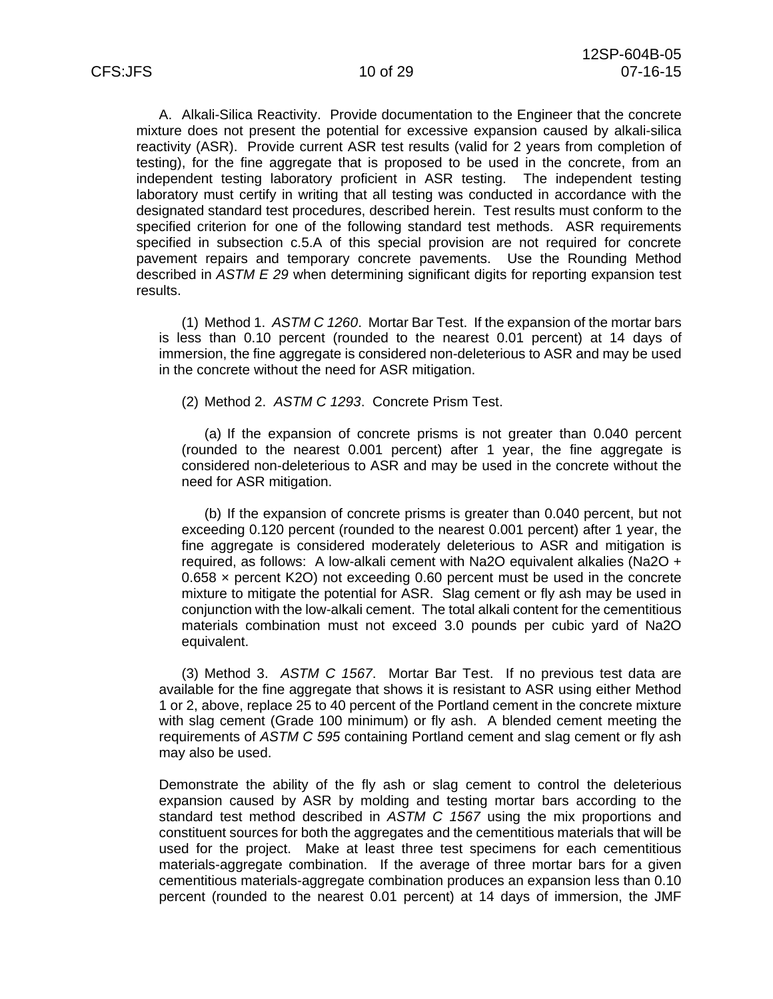A. Alkali-Silica Reactivity. Provide documentation to the Engineer that the concrete mixture does not present the potential for excessive expansion caused by alkali-silica reactivity (ASR). Provide current ASR test results (valid for 2 years from completion of testing), for the fine aggregate that is proposed to be used in the concrete, from an independent testing laboratory proficient in ASR testing. The independent testing laboratory must certify in writing that all testing was conducted in accordance with the designated standard test procedures, described herein. Test results must conform to the specified criterion for one of the following standard test methods. ASR requirements specified in subsection c.5.A of this special provision are not required for concrete pavement repairs and temporary concrete pavements. Use the Rounding Method described in *ASTM E 29* when determining significant digits for reporting expansion test results.

(1) Method 1. *ASTM C 1260*. Mortar Bar Test. If the expansion of the mortar bars is less than 0.10 percent (rounded to the nearest 0.01 percent) at 14 days of immersion, the fine aggregate is considered non-deleterious to ASR and may be used in the concrete without the need for ASR mitigation.

(2) Method 2. *ASTM C 1293*. Concrete Prism Test.

(a) If the expansion of concrete prisms is not greater than 0.040 percent (rounded to the nearest 0.001 percent) after 1 year, the fine aggregate is considered non-deleterious to ASR and may be used in the concrete without the need for ASR mitigation.

(b) If the expansion of concrete prisms is greater than 0.040 percent, but not exceeding 0.120 percent (rounded to the nearest 0.001 percent) after 1 year, the fine aggregate is considered moderately deleterious to ASR and mitigation is required, as follows: A low-alkali cement with Na2O equivalent alkalies (Na2O +  $0.658 \times$  percent K2O) not exceeding 0.60 percent must be used in the concrete mixture to mitigate the potential for ASR. Slag cement or fly ash may be used in conjunction with the low-alkali cement. The total alkali content for the cementitious materials combination must not exceed 3.0 pounds per cubic yard of Na2O equivalent.

(3) Method 3. *ASTM C 1567*. Mortar Bar Test. If no previous test data are available for the fine aggregate that shows it is resistant to ASR using either Method 1 or 2, above, replace 25 to 40 percent of the Portland cement in the concrete mixture with slag cement (Grade 100 minimum) or fly ash. A blended cement meeting the requirements of *ASTM C 595* containing Portland cement and slag cement or fly ash may also be used.

Demonstrate the ability of the fly ash or slag cement to control the deleterious expansion caused by ASR by molding and testing mortar bars according to the standard test method described in *ASTM C 1567* using the mix proportions and constituent sources for both the aggregates and the cementitious materials that will be used for the project. Make at least three test specimens for each cementitious materials-aggregate combination. If the average of three mortar bars for a given cementitious materials-aggregate combination produces an expansion less than 0.10 percent (rounded to the nearest 0.01 percent) at 14 days of immersion, the JMF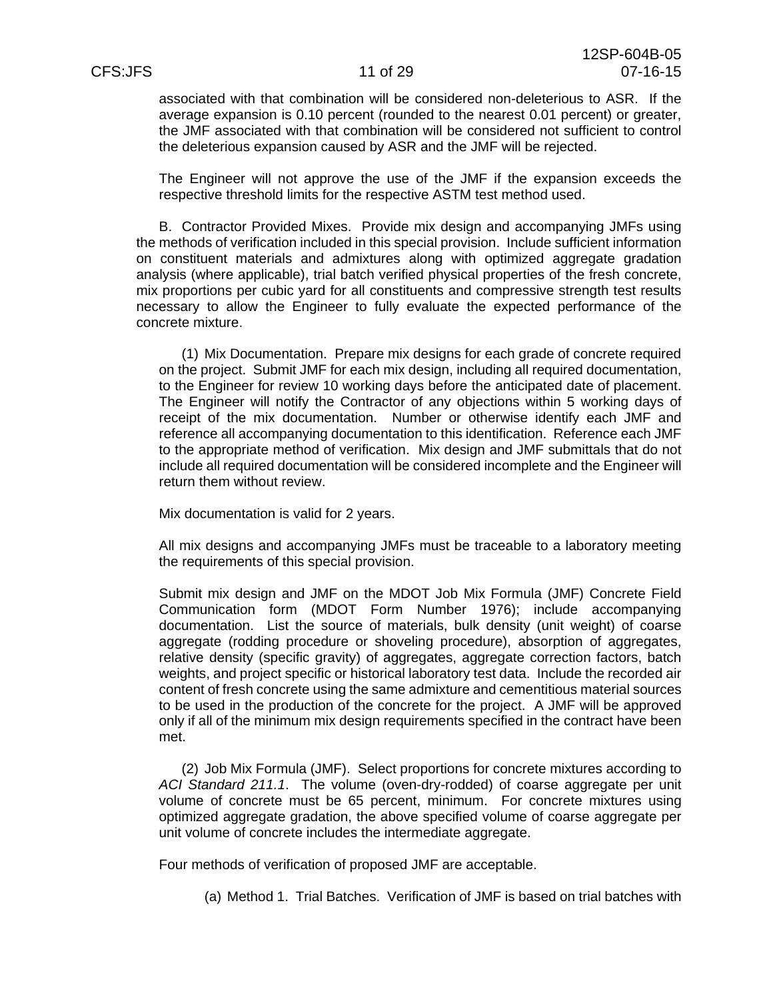associated with that combination will be considered non-deleterious to ASR. If the average expansion is 0.10 percent (rounded to the nearest 0.01 percent) or greater, the JMF associated with that combination will be considered not sufficient to control the deleterious expansion caused by ASR and the JMF will be rejected.

The Engineer will not approve the use of the JMF if the expansion exceeds the respective threshold limits for the respective ASTM test method used.

B. Contractor Provided Mixes. Provide mix design and accompanying JMFs using the methods of verification included in this special provision. Include sufficient information on constituent materials and admixtures along with optimized aggregate gradation analysis (where applicable), trial batch verified physical properties of the fresh concrete, mix proportions per cubic yard for all constituents and compressive strength test results necessary to allow the Engineer to fully evaluate the expected performance of the concrete mixture.

(1) Mix Documentation. Prepare mix designs for each grade of concrete required on the project. Submit JMF for each mix design, including all required documentation, to the Engineer for review 10 working days before the anticipated date of placement. The Engineer will notify the Contractor of any objections within 5 working days of receipt of the mix documentation. Number or otherwise identify each JMF and reference all accompanying documentation to this identification. Reference each JMF to the appropriate method of verification. Mix design and JMF submittals that do not include all required documentation will be considered incomplete and the Engineer will return them without review.

Mix documentation is valid for 2 years.

All mix designs and accompanying JMFs must be traceable to a laboratory meeting the requirements of this special provision.

Submit mix design and JMF on the MDOT Job Mix Formula (JMF) Concrete Field Communication form (MDOT Form Number 1976); include accompanying documentation. List the source of materials, bulk density (unit weight) of coarse aggregate (rodding procedure or shoveling procedure), absorption of aggregates, relative density (specific gravity) of aggregates, aggregate correction factors, batch weights, and project specific or historical laboratory test data. Include the recorded air content of fresh concrete using the same admixture and cementitious material sources to be used in the production of the concrete for the project. A JMF will be approved only if all of the minimum mix design requirements specified in the contract have been met.

(2) Job Mix Formula (JMF). Select proportions for concrete mixtures according to *ACI Standard 211.1*. The volume (oven-dry-rodded) of coarse aggregate per unit volume of concrete must be 65 percent, minimum. For concrete mixtures using optimized aggregate gradation, the above specified volume of coarse aggregate per unit volume of concrete includes the intermediate aggregate.

Four methods of verification of proposed JMF are acceptable.

(a) Method 1. Trial Batches. Verification of JMF is based on trial batches with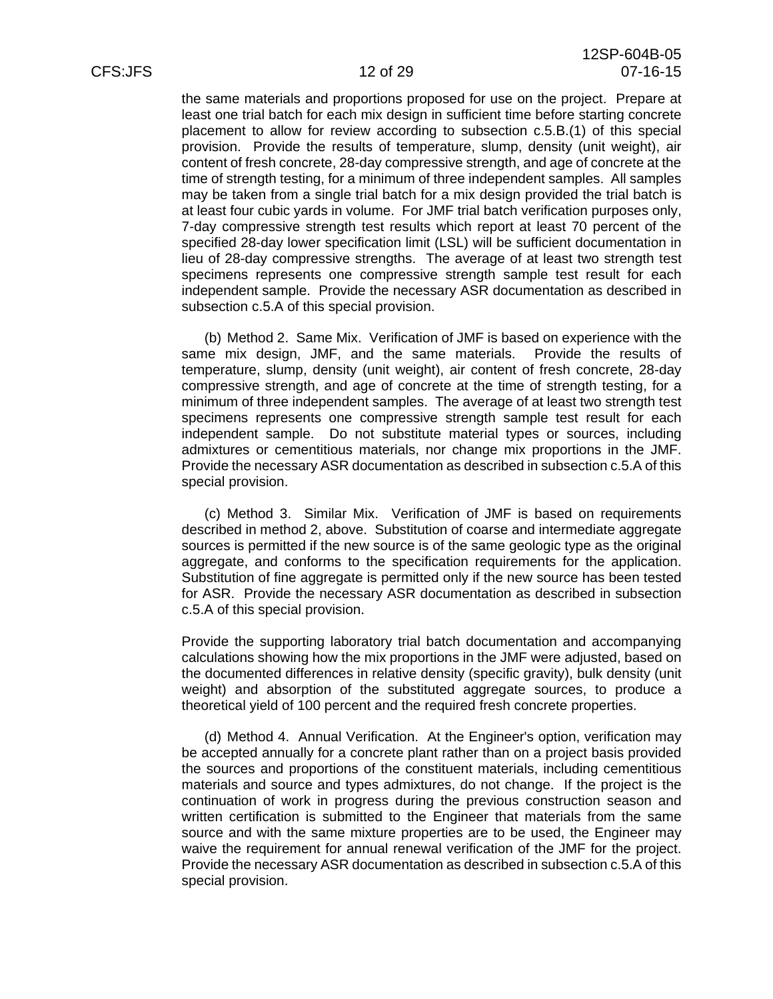the same materials and proportions proposed for use on the project. Prepare at least one trial batch for each mix design in sufficient time before starting concrete placement to allow for review according to subsection c.5.B.(1) of this special provision. Provide the results of temperature, slump, density (unit weight), air content of fresh concrete, 28-day compressive strength, and age of concrete at the time of strength testing, for a minimum of three independent samples. All samples may be taken from a single trial batch for a mix design provided the trial batch is at least four cubic yards in volume. For JMF trial batch verification purposes only, 7-day compressive strength test results which report at least 70 percent of the specified 28-day lower specification limit (LSL) will be sufficient documentation in lieu of 28-day compressive strengths. The average of at least two strength test specimens represents one compressive strength sample test result for each independent sample. Provide the necessary ASR documentation as described in subsection c.5.A of this special provision.

(b) Method 2. Same Mix. Verification of JMF is based on experience with the same mix design, JMF, and the same materials. Provide the results of temperature, slump, density (unit weight), air content of fresh concrete, 28-day compressive strength, and age of concrete at the time of strength testing, for a minimum of three independent samples. The average of at least two strength test specimens represents one compressive strength sample test result for each independent sample. Do not substitute material types or sources, including admixtures or cementitious materials, nor change mix proportions in the JMF. Provide the necessary ASR documentation as described in subsection c.5.A of this special provision.

(c) Method 3. Similar Mix. Verification of JMF is based on requirements described in method 2, above. Substitution of coarse and intermediate aggregate sources is permitted if the new source is of the same geologic type as the original aggregate, and conforms to the specification requirements for the application. Substitution of fine aggregate is permitted only if the new source has been tested for ASR. Provide the necessary ASR documentation as described in subsection c.5.A of this special provision.

Provide the supporting laboratory trial batch documentation and accompanying calculations showing how the mix proportions in the JMF were adjusted, based on the documented differences in relative density (specific gravity), bulk density (unit weight) and absorption of the substituted aggregate sources, to produce a theoretical yield of 100 percent and the required fresh concrete properties.

(d) Method 4. Annual Verification. At the Engineer's option, verification may be accepted annually for a concrete plant rather than on a project basis provided the sources and proportions of the constituent materials, including cementitious materials and source and types admixtures, do not change. If the project is the continuation of work in progress during the previous construction season and written certification is submitted to the Engineer that materials from the same source and with the same mixture properties are to be used, the Engineer may waive the requirement for annual renewal verification of the JMF for the project. Provide the necessary ASR documentation as described in subsection c.5.A of this special provision.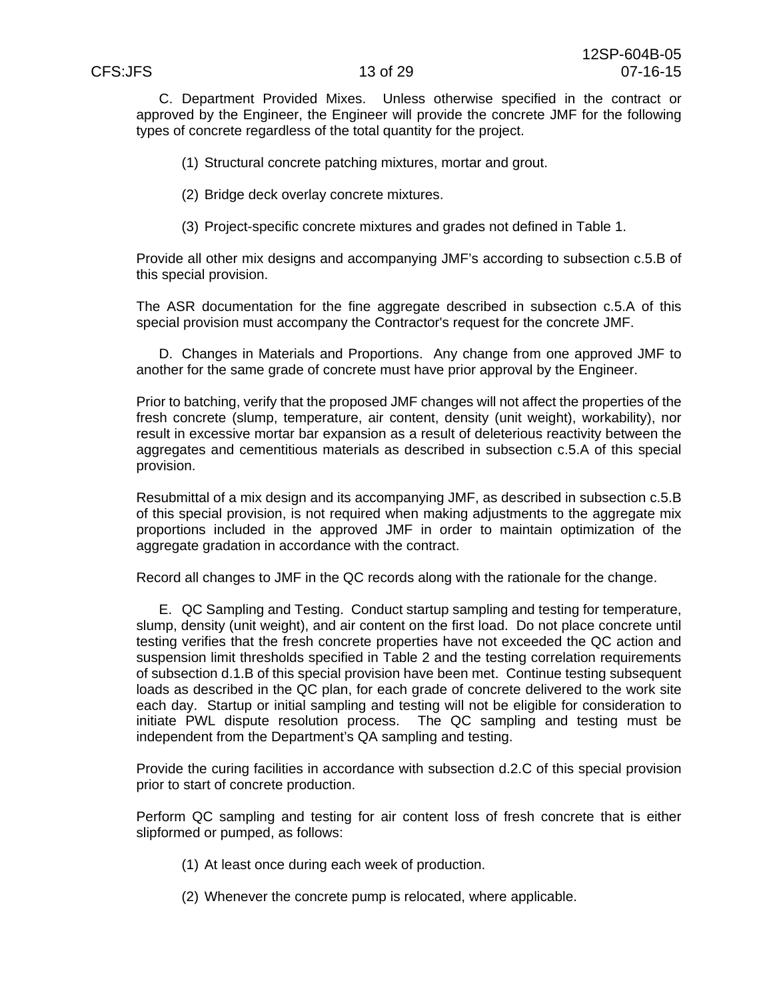C. Department Provided Mixes. Unless otherwise specified in the contract or approved by the Engineer, the Engineer will provide the concrete JMF for the following types of concrete regardless of the total quantity for the project.

(1) Structural concrete patching mixtures, mortar and grout.

(2) Bridge deck overlay concrete mixtures.

(3) Project-specific concrete mixtures and grades not defined in Table 1.

Provide all other mix designs and accompanying JMF's according to subsection c.5.B of this special provision.

The ASR documentation for the fine aggregate described in subsection c.5.A of this special provision must accompany the Contractor's request for the concrete JMF.

D. Changes in Materials and Proportions. Any change from one approved JMF to another for the same grade of concrete must have prior approval by the Engineer.

Prior to batching, verify that the proposed JMF changes will not affect the properties of the fresh concrete (slump, temperature, air content, density (unit weight), workability), nor result in excessive mortar bar expansion as a result of deleterious reactivity between the aggregates and cementitious materials as described in subsection c.5.A of this special provision.

Resubmittal of a mix design and its accompanying JMF, as described in subsection c.5.B of this special provision, is not required when making adjustments to the aggregate mix proportions included in the approved JMF in order to maintain optimization of the aggregate gradation in accordance with the contract.

Record all changes to JMF in the QC records along with the rationale for the change.

E. QC Sampling and Testing. Conduct startup sampling and testing for temperature, slump, density (unit weight), and air content on the first load. Do not place concrete until testing verifies that the fresh concrete properties have not exceeded the QC action and suspension limit thresholds specified in Table 2 and the testing correlation requirements of subsection d.1.B of this special provision have been met. Continue testing subsequent loads as described in the QC plan, for each grade of concrete delivered to the work site each day. Startup or initial sampling and testing will not be eligible for consideration to initiate PWL dispute resolution process. The QC sampling and testing must be independent from the Department's QA sampling and testing.

Provide the curing facilities in accordance with subsection d.2.C of this special provision prior to start of concrete production.

Perform QC sampling and testing for air content loss of fresh concrete that is either slipformed or pumped, as follows:

- (1) At least once during each week of production.
- (2) Whenever the concrete pump is relocated, where applicable.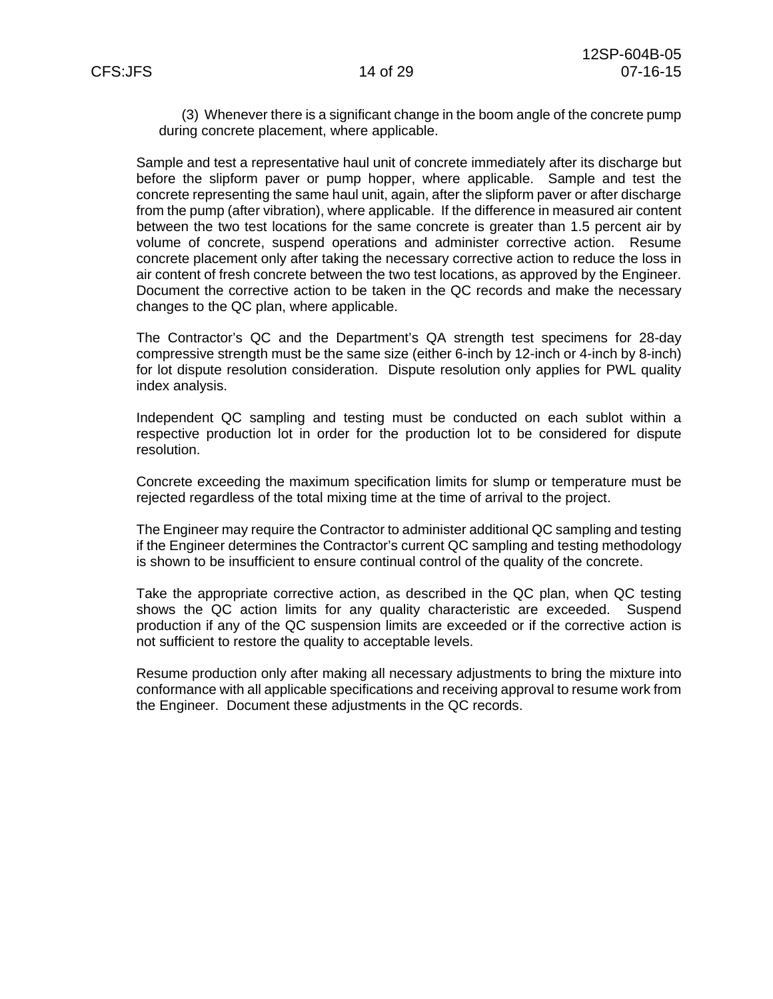(3) Whenever there is a significant change in the boom angle of the concrete pump during concrete placement, where applicable.

Sample and test a representative haul unit of concrete immediately after its discharge but before the slipform paver or pump hopper, where applicable. Sample and test the concrete representing the same haul unit, again, after the slipform paver or after discharge from the pump (after vibration), where applicable. If the difference in measured air content between the two test locations for the same concrete is greater than 1.5 percent air by volume of concrete, suspend operations and administer corrective action. Resume concrete placement only after taking the necessary corrective action to reduce the loss in air content of fresh concrete between the two test locations, as approved by the Engineer. Document the corrective action to be taken in the QC records and make the necessary changes to the QC plan, where applicable.

The Contractor's QC and the Department's QA strength test specimens for 28-day compressive strength must be the same size (either 6-inch by 12-inch or 4-inch by 8-inch) for lot dispute resolution consideration. Dispute resolution only applies for PWL quality index analysis.

Independent QC sampling and testing must be conducted on each sublot within a respective production lot in order for the production lot to be considered for dispute resolution.

Concrete exceeding the maximum specification limits for slump or temperature must be rejected regardless of the total mixing time at the time of arrival to the project.

The Engineer may require the Contractor to administer additional QC sampling and testing if the Engineer determines the Contractor's current QC sampling and testing methodology is shown to be insufficient to ensure continual control of the quality of the concrete.

Take the appropriate corrective action, as described in the QC plan, when QC testing shows the QC action limits for any quality characteristic are exceeded. Suspend production if any of the QC suspension limits are exceeded or if the corrective action is not sufficient to restore the quality to acceptable levels.

Resume production only after making all necessary adjustments to bring the mixture into conformance with all applicable specifications and receiving approval to resume work from the Engineer. Document these adjustments in the QC records.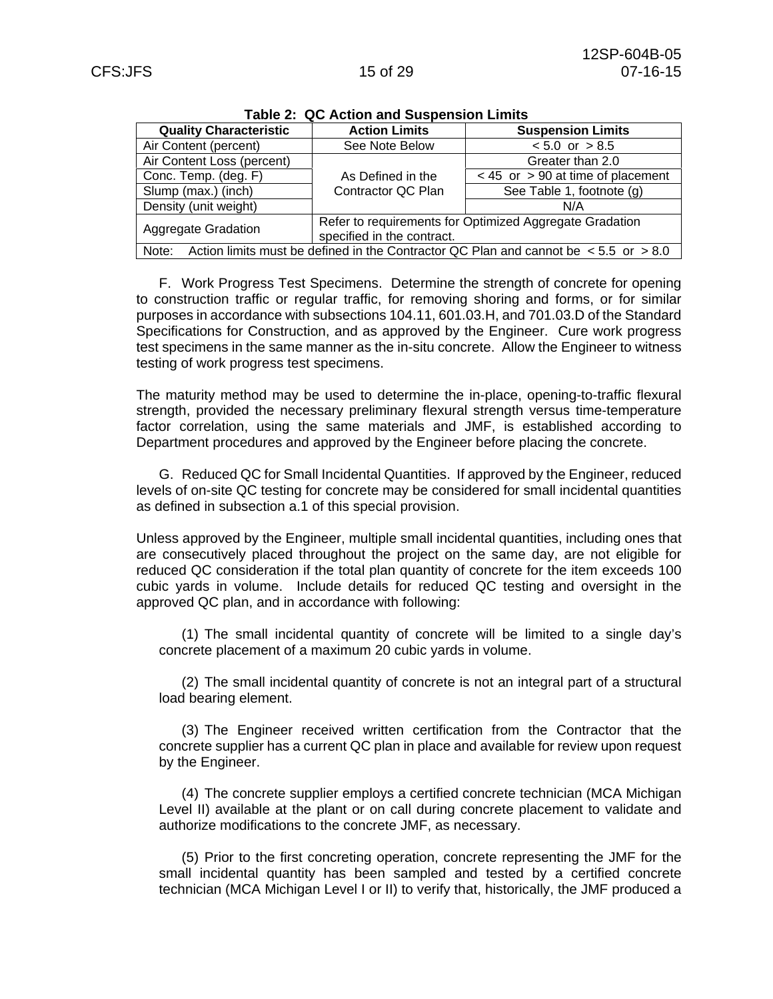| rable 2: QC Action and Suspension Limits                                                            |                                                         |                                       |  |  |
|-----------------------------------------------------------------------------------------------------|---------------------------------------------------------|---------------------------------------|--|--|
| <b>Quality Characteristic</b>                                                                       | <b>Action Limits</b>                                    | <b>Suspension Limits</b>              |  |  |
| Air Content (percent)                                                                               | See Note Below                                          | $< 5.0$ or $> 8.5$                    |  |  |
| Air Content Loss (percent)                                                                          |                                                         | Greater than 2.0                      |  |  |
| Conc. Temp. (deg. F)                                                                                | As Defined in the                                       | $<$ 45 or $>$ 90 at time of placement |  |  |
| Slump (max.) (inch)                                                                                 | Contractor QC Plan                                      | See Table 1, footnote (g)             |  |  |
| Density (unit weight)                                                                               |                                                         | N/A                                   |  |  |
| <b>Aggregate Gradation</b>                                                                          | Refer to requirements for Optimized Aggregate Gradation |                                       |  |  |
|                                                                                                     | specified in the contract.                              |                                       |  |  |
| Note:<br>Action limits must be defined in the Contractor QC Plan and cannot be $\le$ 5.5 or $>$ 8.0 |                                                         |                                       |  |  |

**Table 2: QC Action and Suspension Limits** 

F. Work Progress Test Specimens. Determine the strength of concrete for opening to construction traffic or regular traffic, for removing shoring and forms, or for similar purposes in accordance with subsections 104.11, 601.03.H, and 701.03.D of the Standard Specifications for Construction, and as approved by the Engineer. Cure work progress test specimens in the same manner as the in-situ concrete. Allow the Engineer to witness testing of work progress test specimens.

The maturity method may be used to determine the in-place, opening-to-traffic flexural strength, provided the necessary preliminary flexural strength versus time-temperature factor correlation, using the same materials and JMF, is established according to Department procedures and approved by the Engineer before placing the concrete.

G. Reduced QC for Small Incidental Quantities. If approved by the Engineer, reduced levels of on-site QC testing for concrete may be considered for small incidental quantities as defined in subsection a.1 of this special provision.

Unless approved by the Engineer, multiple small incidental quantities, including ones that are consecutively placed throughout the project on the same day, are not eligible for reduced QC consideration if the total plan quantity of concrete for the item exceeds 100 cubic yards in volume. Include details for reduced QC testing and oversight in the approved QC plan, and in accordance with following:

(1) The small incidental quantity of concrete will be limited to a single day's concrete placement of a maximum 20 cubic yards in volume.

(2) The small incidental quantity of concrete is not an integral part of a structural load bearing element.

(3) The Engineer received written certification from the Contractor that the concrete supplier has a current QC plan in place and available for review upon request by the Engineer.

(4) The concrete supplier employs a certified concrete technician (MCA Michigan Level II) available at the plant or on call during concrete placement to validate and authorize modifications to the concrete JMF, as necessary.

(5) Prior to the first concreting operation, concrete representing the JMF for the small incidental quantity has been sampled and tested by a certified concrete technician (MCA Michigan Level I or II) to verify that, historically, the JMF produced a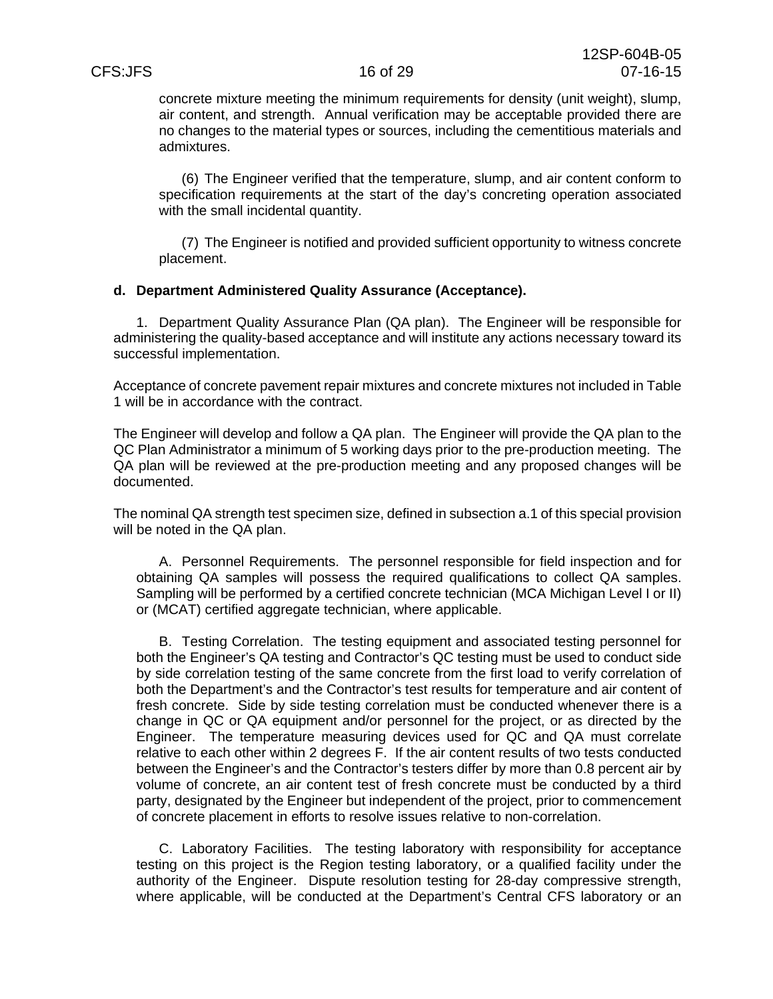concrete mixture meeting the minimum requirements for density (unit weight), slump, air content, and strength. Annual verification may be acceptable provided there are no changes to the material types or sources, including the cementitious materials and admixtures.

(6) The Engineer verified that the temperature, slump, and air content conform to specification requirements at the start of the day's concreting operation associated with the small incidental quantity.

(7) The Engineer is notified and provided sufficient opportunity to witness concrete placement.

### **d. Department Administered Quality Assurance (Acceptance).**

1. Department Quality Assurance Plan (QA plan). The Engineer will be responsible for administering the quality-based acceptance and will institute any actions necessary toward its successful implementation.

Acceptance of concrete pavement repair mixtures and concrete mixtures not included in Table 1 will be in accordance with the contract.

The Engineer will develop and follow a QA plan. The Engineer will provide the QA plan to the QC Plan Administrator a minimum of 5 working days prior to the pre-production meeting. The QA plan will be reviewed at the pre-production meeting and any proposed changes will be documented.

The nominal QA strength test specimen size, defined in subsection a.1 of this special provision will be noted in the QA plan.

A. Personnel Requirements. The personnel responsible for field inspection and for obtaining QA samples will possess the required qualifications to collect QA samples. Sampling will be performed by a certified concrete technician (MCA Michigan Level I or II) or (MCAT) certified aggregate technician, where applicable.

B. Testing Correlation. The testing equipment and associated testing personnel for both the Engineer's QA testing and Contractor's QC testing must be used to conduct side by side correlation testing of the same concrete from the first load to verify correlation of both the Department's and the Contractor's test results for temperature and air content of fresh concrete. Side by side testing correlation must be conducted whenever there is a change in QC or QA equipment and/or personnel for the project, or as directed by the Engineer. The temperature measuring devices used for QC and QA must correlate relative to each other within 2 degrees F. If the air content results of two tests conducted between the Engineer's and the Contractor's testers differ by more than 0.8 percent air by volume of concrete, an air content test of fresh concrete must be conducted by a third party, designated by the Engineer but independent of the project, prior to commencement of concrete placement in efforts to resolve issues relative to non-correlation.

C. Laboratory Facilities. The testing laboratory with responsibility for acceptance testing on this project is the Region testing laboratory, or a qualified facility under the authority of the Engineer. Dispute resolution testing for 28-day compressive strength, where applicable, will be conducted at the Department's Central CFS laboratory or an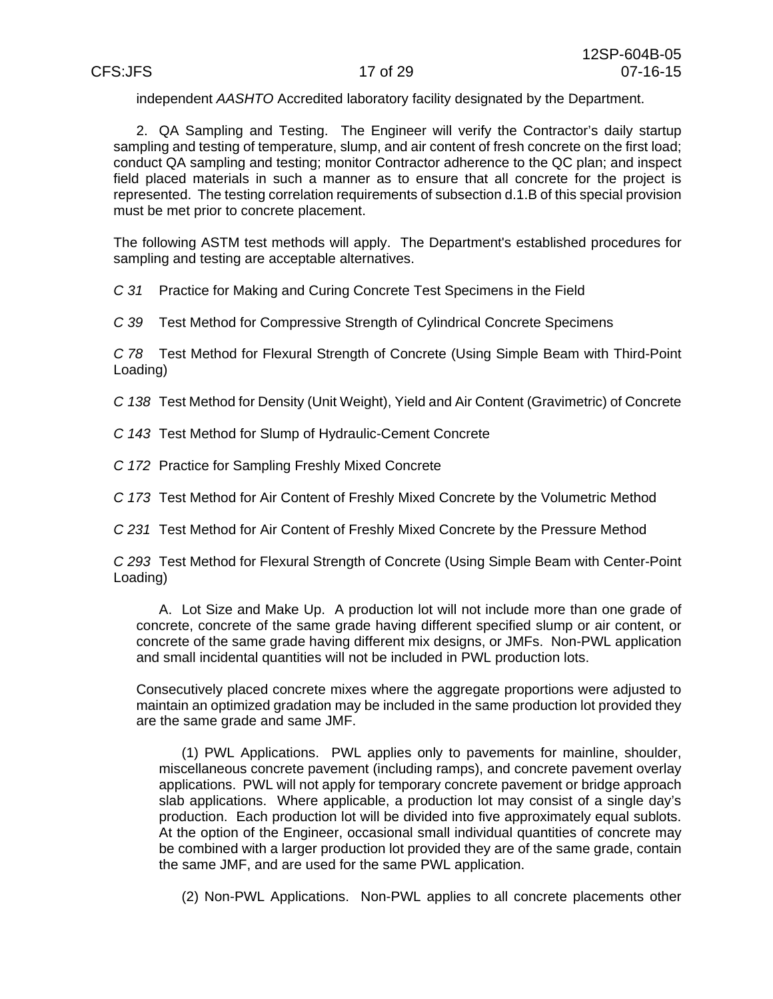independent *AASHTO* Accredited laboratory facility designated by the Department.

2. QA Sampling and Testing. The Engineer will verify the Contractor's daily startup sampling and testing of temperature, slump, and air content of fresh concrete on the first load; conduct QA sampling and testing; monitor Contractor adherence to the QC plan; and inspect field placed materials in such a manner as to ensure that all concrete for the project is represented. The testing correlation requirements of subsection d.1.B of this special provision must be met prior to concrete placement.

The following ASTM test methods will apply. The Department's established procedures for sampling and testing are acceptable alternatives.

*C 31* Practice for Making and Curing Concrete Test Specimens in the Field

*C 39* Test Method for Compressive Strength of Cylindrical Concrete Specimens

*C 78* Test Method for Flexural Strength of Concrete (Using Simple Beam with Third-Point Loading)

*C 138* Test Method for Density (Unit Weight), Yield and Air Content (Gravimetric) of Concrete

*C 143* Test Method for Slump of Hydraulic-Cement Concrete

*C 172* Practice for Sampling Freshly Mixed Concrete

*C 173* Test Method for Air Content of Freshly Mixed Concrete by the Volumetric Method

*C 231* Test Method for Air Content of Freshly Mixed Concrete by the Pressure Method

*C 293* Test Method for Flexural Strength of Concrete (Using Simple Beam with Center-Point Loading)

A. Lot Size and Make Up. A production lot will not include more than one grade of concrete, concrete of the same grade having different specified slump or air content, or concrete of the same grade having different mix designs, or JMFs. Non-PWL application and small incidental quantities will not be included in PWL production lots.

Consecutively placed concrete mixes where the aggregate proportions were adjusted to maintain an optimized gradation may be included in the same production lot provided they are the same grade and same JMF.

(1) PWL Applications. PWL applies only to pavements for mainline, shoulder, miscellaneous concrete pavement (including ramps), and concrete pavement overlay applications. PWL will not apply for temporary concrete pavement or bridge approach slab applications. Where applicable, a production lot may consist of a single day's production. Each production lot will be divided into five approximately equal sublots. At the option of the Engineer, occasional small individual quantities of concrete may be combined with a larger production lot provided they are of the same grade, contain the same JMF, and are used for the same PWL application.

(2) Non-PWL Applications. Non-PWL applies to all concrete placements other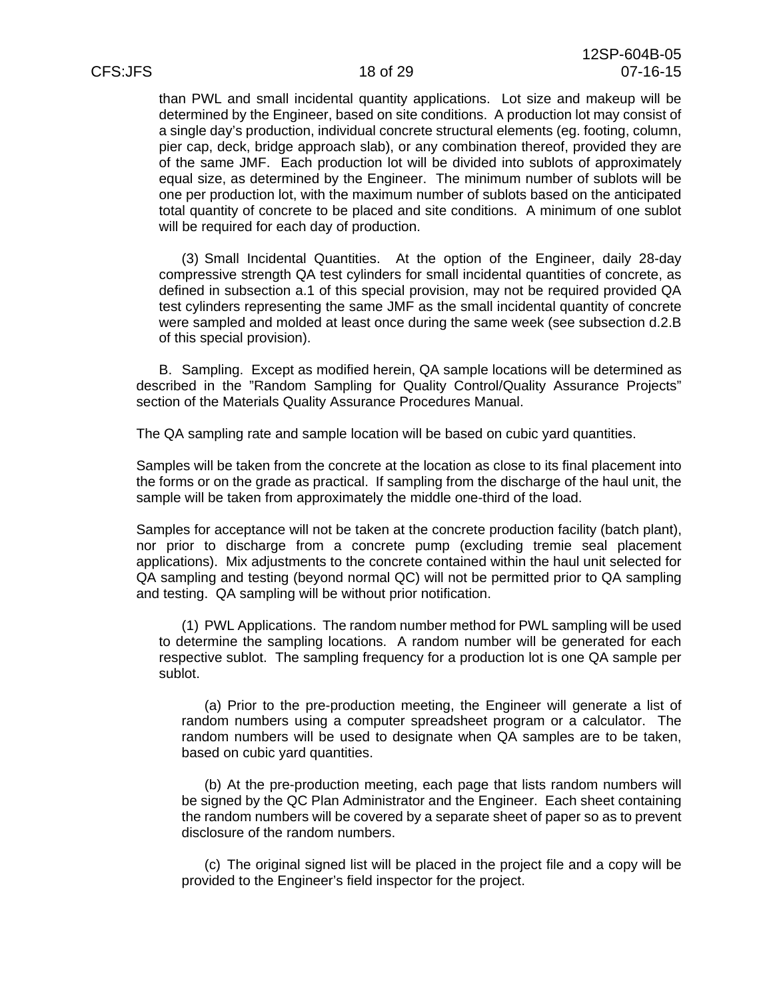than PWL and small incidental quantity applications. Lot size and makeup will be determined by the Engineer, based on site conditions. A production lot may consist of a single day's production, individual concrete structural elements (eg. footing, column, pier cap, deck, bridge approach slab), or any combination thereof, provided they are of the same JMF. Each production lot will be divided into sublots of approximately equal size, as determined by the Engineer. The minimum number of sublots will be one per production lot, with the maximum number of sublots based on the anticipated total quantity of concrete to be placed and site conditions. A minimum of one sublot will be required for each day of production.

(3) Small Incidental Quantities. At the option of the Engineer, daily 28-day compressive strength QA test cylinders for small incidental quantities of concrete, as defined in subsection a.1 of this special provision, may not be required provided QA test cylinders representing the same JMF as the small incidental quantity of concrete were sampled and molded at least once during the same week (see subsection d.2.B of this special provision).

B. Sampling. Except as modified herein, QA sample locations will be determined as described in the "Random Sampling for Quality Control/Quality Assurance Projects" section of the Materials Quality Assurance Procedures Manual.

The QA sampling rate and sample location will be based on cubic yard quantities.

Samples will be taken from the concrete at the location as close to its final placement into the forms or on the grade as practical. If sampling from the discharge of the haul unit, the sample will be taken from approximately the middle one-third of the load.

Samples for acceptance will not be taken at the concrete production facility (batch plant), nor prior to discharge from a concrete pump (excluding tremie seal placement applications). Mix adjustments to the concrete contained within the haul unit selected for QA sampling and testing (beyond normal QC) will not be permitted prior to QA sampling and testing. QA sampling will be without prior notification.

(1) PWL Applications. The random number method for PWL sampling will be used to determine the sampling locations. A random number will be generated for each respective sublot. The sampling frequency for a production lot is one QA sample per sublot.

(a) Prior to the pre-production meeting, the Engineer will generate a list of random numbers using a computer spreadsheet program or a calculator. The random numbers will be used to designate when QA samples are to be taken, based on cubic yard quantities.

(b) At the pre-production meeting, each page that lists random numbers will be signed by the QC Plan Administrator and the Engineer. Each sheet containing the random numbers will be covered by a separate sheet of paper so as to prevent disclosure of the random numbers.

(c) The original signed list will be placed in the project file and a copy will be provided to the Engineer's field inspector for the project.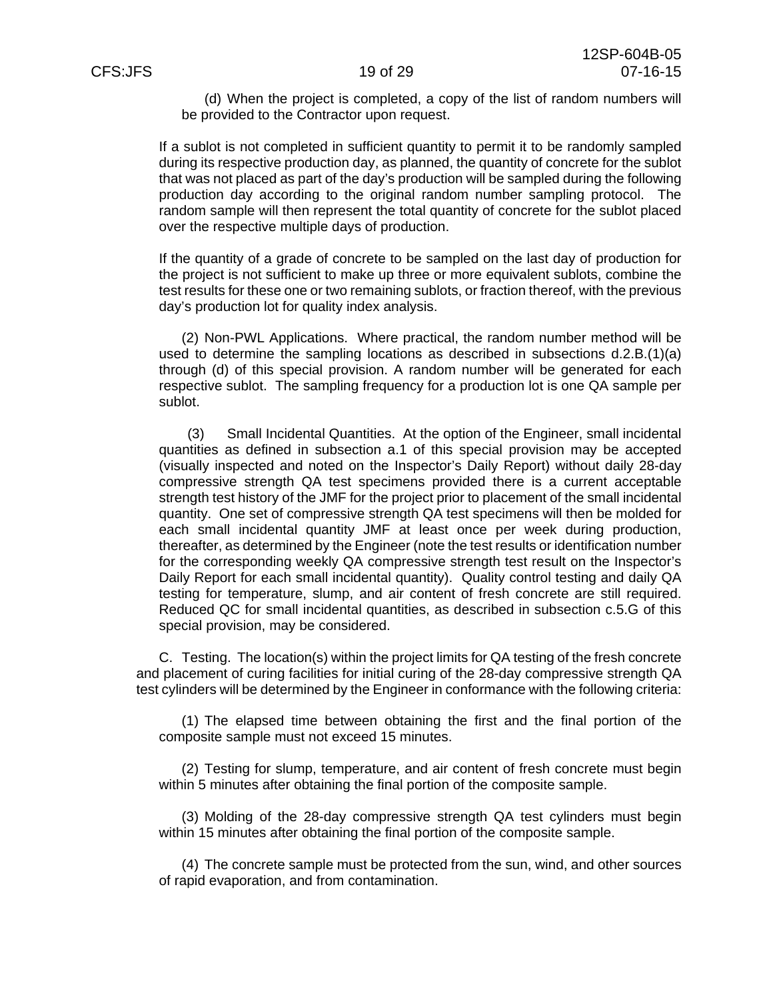(d) When the project is completed, a copy of the list of random numbers will be provided to the Contractor upon request.

If a sublot is not completed in sufficient quantity to permit it to be randomly sampled during its respective production day, as planned, the quantity of concrete for the sublot that was not placed as part of the day's production will be sampled during the following production day according to the original random number sampling protocol. The random sample will then represent the total quantity of concrete for the sublot placed over the respective multiple days of production.

If the quantity of a grade of concrete to be sampled on the last day of production for the project is not sufficient to make up three or more equivalent sublots, combine the test results for these one or two remaining sublots, or fraction thereof, with the previous day's production lot for quality index analysis.

(2) Non-PWL Applications. Where practical, the random number method will be used to determine the sampling locations as described in subsections d.2.B.(1)(a) through (d) of this special provision. A random number will be generated for each respective sublot. The sampling frequency for a production lot is one QA sample per sublot.

(3) Small Incidental Quantities. At the option of the Engineer, small incidental quantities as defined in subsection a.1 of this special provision may be accepted (visually inspected and noted on the Inspector's Daily Report) without daily 28-day compressive strength QA test specimens provided there is a current acceptable strength test history of the JMF for the project prior to placement of the small incidental quantity. One set of compressive strength QA test specimens will then be molded for each small incidental quantity JMF at least once per week during production, thereafter, as determined by the Engineer (note the test results or identification number for the corresponding weekly QA compressive strength test result on the Inspector's Daily Report for each small incidental quantity). Quality control testing and daily QA testing for temperature, slump, and air content of fresh concrete are still required. Reduced QC for small incidental quantities, as described in subsection c.5.G of this special provision, may be considered.

C. Testing. The location(s) within the project limits for QA testing of the fresh concrete and placement of curing facilities for initial curing of the 28-day compressive strength QA test cylinders will be determined by the Engineer in conformance with the following criteria:

(1) The elapsed time between obtaining the first and the final portion of the composite sample must not exceed 15 minutes.

(2) Testing for slump, temperature, and air content of fresh concrete must begin within 5 minutes after obtaining the final portion of the composite sample.

(3) Molding of the 28-day compressive strength QA test cylinders must begin within 15 minutes after obtaining the final portion of the composite sample.

(4) The concrete sample must be protected from the sun, wind, and other sources of rapid evaporation, and from contamination.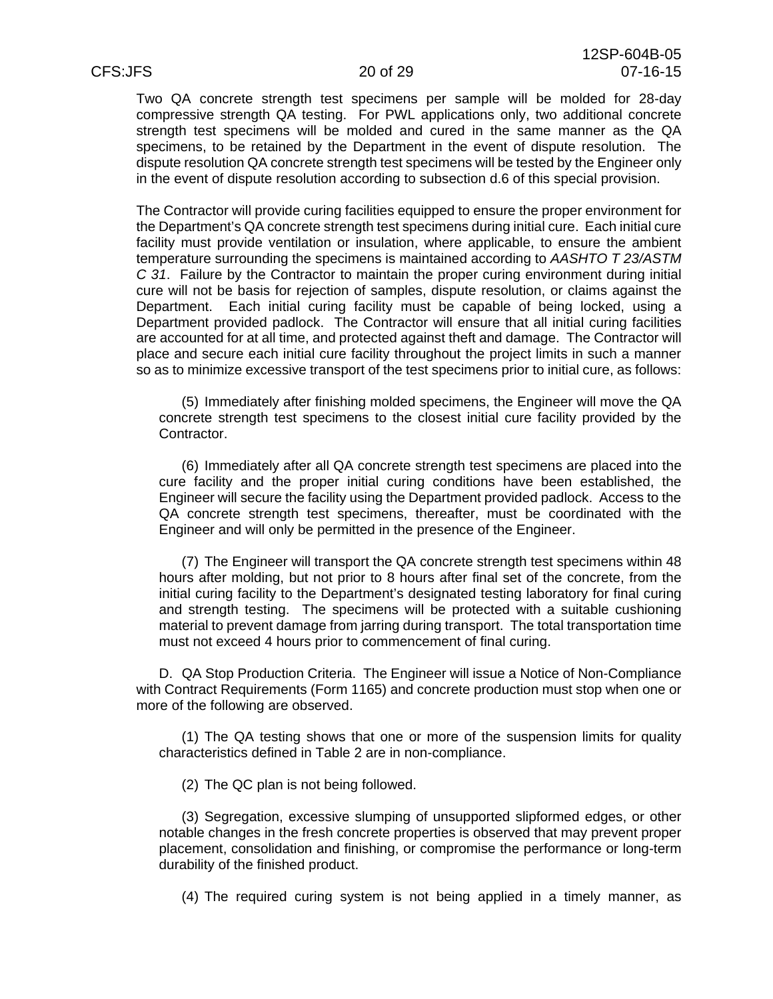Two QA concrete strength test specimens per sample will be molded for 28-day compressive strength QA testing. For PWL applications only, two additional concrete strength test specimens will be molded and cured in the same manner as the QA specimens, to be retained by the Department in the event of dispute resolution. The dispute resolution QA concrete strength test specimens will be tested by the Engineer only in the event of dispute resolution according to subsection d.6 of this special provision.

The Contractor will provide curing facilities equipped to ensure the proper environment for the Department's QA concrete strength test specimens during initial cure. Each initial cure facility must provide ventilation or insulation, where applicable, to ensure the ambient temperature surrounding the specimens is maintained according to *AASHTO T 23/ASTM C 31*. Failure by the Contractor to maintain the proper curing environment during initial cure will not be basis for rejection of samples, dispute resolution, or claims against the Department. Each initial curing facility must be capable of being locked, using a Department provided padlock. The Contractor will ensure that all initial curing facilities are accounted for at all time, and protected against theft and damage. The Contractor will place and secure each initial cure facility throughout the project limits in such a manner so as to minimize excessive transport of the test specimens prior to initial cure, as follows:

(5) Immediately after finishing molded specimens, the Engineer will move the QA concrete strength test specimens to the closest initial cure facility provided by the Contractor.

(6) Immediately after all QA concrete strength test specimens are placed into the cure facility and the proper initial curing conditions have been established, the Engineer will secure the facility using the Department provided padlock. Access to the QA concrete strength test specimens, thereafter, must be coordinated with the Engineer and will only be permitted in the presence of the Engineer.

(7) The Engineer will transport the QA concrete strength test specimens within 48 hours after molding, but not prior to 8 hours after final set of the concrete, from the initial curing facility to the Department's designated testing laboratory for final curing and strength testing. The specimens will be protected with a suitable cushioning material to prevent damage from jarring during transport. The total transportation time must not exceed 4 hours prior to commencement of final curing.

D. QA Stop Production Criteria. The Engineer will issue a Notice of Non-Compliance with Contract Requirements (Form 1165) and concrete production must stop when one or more of the following are observed.

(1) The QA testing shows that one or more of the suspension limits for quality characteristics defined in Table 2 are in non-compliance.

(2) The QC plan is not being followed.

(3) Segregation, excessive slumping of unsupported slipformed edges, or other notable changes in the fresh concrete properties is observed that may prevent proper placement, consolidation and finishing, or compromise the performance or long-term durability of the finished product.

(4) The required curing system is not being applied in a timely manner, as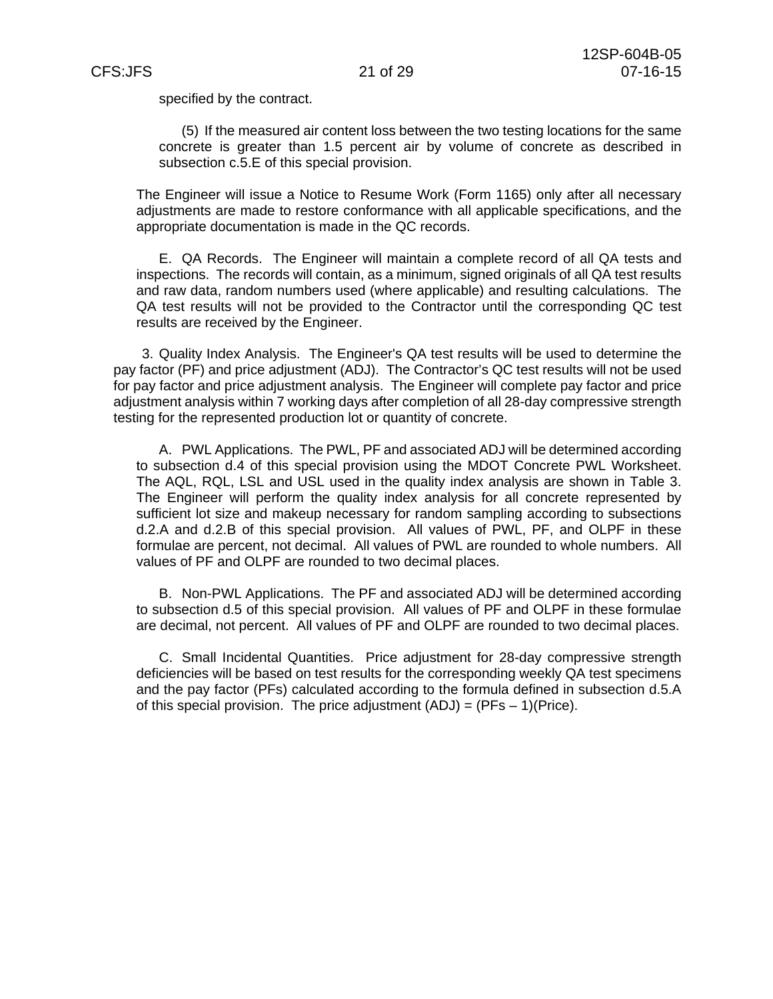specified by the contract.

(5) If the measured air content loss between the two testing locations for the same concrete is greater than 1.5 percent air by volume of concrete as described in subsection c.5.E of this special provision.

The Engineer will issue a Notice to Resume Work (Form 1165) only after all necessary adjustments are made to restore conformance with all applicable specifications, and the appropriate documentation is made in the QC records.

E. QA Records. The Engineer will maintain a complete record of all QA tests and inspections. The records will contain, as a minimum, signed originals of all QA test results and raw data, random numbers used (where applicable) and resulting calculations. The QA test results will not be provided to the Contractor until the corresponding QC test results are received by the Engineer.

3. Quality Index Analysis. The Engineer's QA test results will be used to determine the pay factor (PF) and price adjustment (ADJ). The Contractor's QC test results will not be used for pay factor and price adjustment analysis. The Engineer will complete pay factor and price adjustment analysis within 7 working days after completion of all 28-day compressive strength testing for the represented production lot or quantity of concrete.

A. PWL Applications. The PWL, PF and associated ADJ will be determined according to subsection d.4 of this special provision using the MDOT Concrete PWL Worksheet. The AQL, RQL, LSL and USL used in the quality index analysis are shown in Table 3. The Engineer will perform the quality index analysis for all concrete represented by sufficient lot size and makeup necessary for random sampling according to subsections d.2.A and d.2.B of this special provision. All values of PWL, PF, and OLPF in these formulae are percent, not decimal. All values of PWL are rounded to whole numbers. All values of PF and OLPF are rounded to two decimal places.

B. Non-PWL Applications. The PF and associated ADJ will be determined according to subsection d.5 of this special provision. All values of PF and OLPF in these formulae are decimal, not percent. All values of PF and OLPF are rounded to two decimal places.

C. Small Incidental Quantities. Price adjustment for 28-day compressive strength deficiencies will be based on test results for the corresponding weekly QA test specimens and the pay factor (PFs) calculated according to the formula defined in subsection d.5.A of this special provision. The price adjustment  $(ADJ) = (PFs - 1)(Price)$ .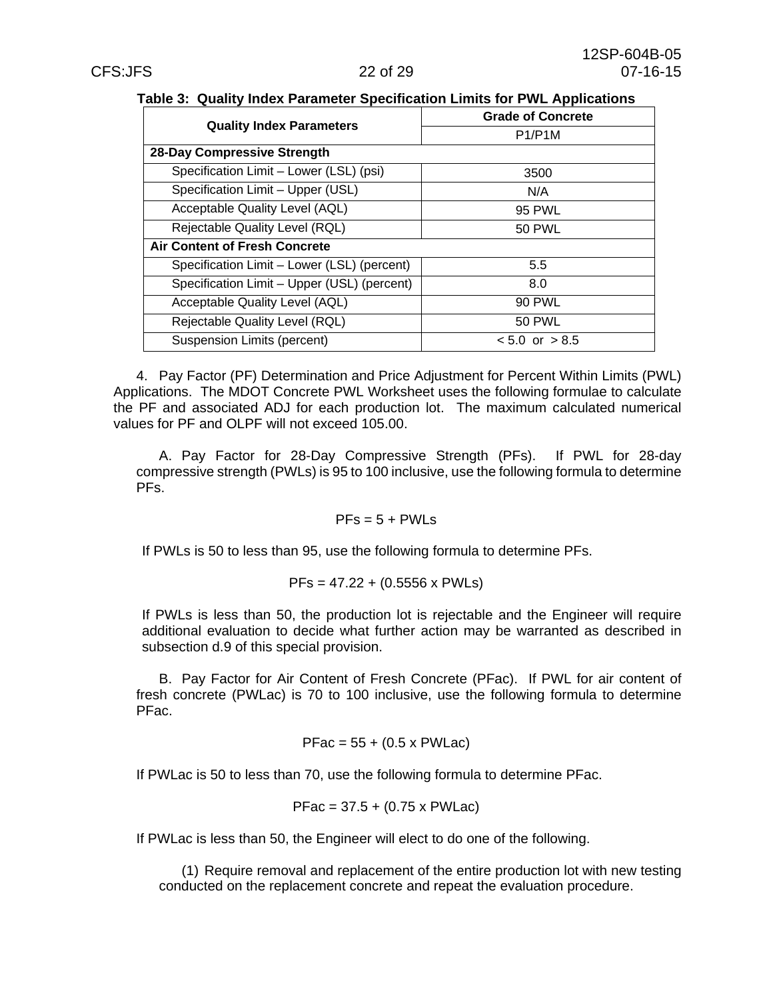|  | Table 3: Quality Index Parameter Specification Limits for PWL Applications |
|--|----------------------------------------------------------------------------|
|--|----------------------------------------------------------------------------|

|                                             | <b>Grade of Concrete</b> |  |  |
|---------------------------------------------|--------------------------|--|--|
| <b>Quality Index Parameters</b>             | P1/P1M                   |  |  |
| 28-Day Compressive Strength                 |                          |  |  |
| Specification Limit - Lower (LSL) (psi)     | 3500                     |  |  |
| Specification Limit - Upper (USL)           | N/A                      |  |  |
| Acceptable Quality Level (AQL)              | 95 PWL                   |  |  |
| Rejectable Quality Level (RQL)              | <b>50 PWL</b>            |  |  |
| <b>Air Content of Fresh Concrete</b>        |                          |  |  |
| Specification Limit - Lower (LSL) (percent) | 5.5                      |  |  |
| Specification Limit - Upper (USL) (percent) | 8.0                      |  |  |
| Acceptable Quality Level (AQL)              | <b>90 PWL</b>            |  |  |
| Rejectable Quality Level (RQL)              | <b>50 PWL</b>            |  |  |
| Suspension Limits (percent)                 | $< 5.0$ or $> 8.5$       |  |  |

4. Pay Factor (PF) Determination and Price Adjustment for Percent Within Limits (PWL) Applications. The MDOT Concrete PWL Worksheet uses the following formulae to calculate the PF and associated ADJ for each production lot. The maximum calculated numerical values for PF and OLPF will not exceed 105.00.

A. Pay Factor for 28-Day Compressive Strength (PFs). If PWL for 28-day compressive strength (PWLs) is 95 to 100 inclusive, use the following formula to determine PFs.

### $PFs = 5 + PWLs$

If PWLs is 50 to less than 95, use the following formula to determine PFs.

$$
PFs = 47.22 + (0.5556 \times PWls)
$$

If PWLs is less than 50, the production lot is rejectable and the Engineer will require additional evaluation to decide what further action may be warranted as described in subsection d.9 of this special provision.

B. Pay Factor for Air Content of Fresh Concrete (PFac). If PWL for air content of fresh concrete (PWLac) is 70 to 100 inclusive, use the following formula to determine PFac.

$$
PFac = 55 + (0.5 \times PWLac)
$$

If PWLac is 50 to less than 70, use the following formula to determine PFac.

$$
PFac = 37.5 + (0.75 \times PWLac)
$$

If PWLac is less than 50, the Engineer will elect to do one of the following.

(1) Require removal and replacement of the entire production lot with new testing conducted on the replacement concrete and repeat the evaluation procedure.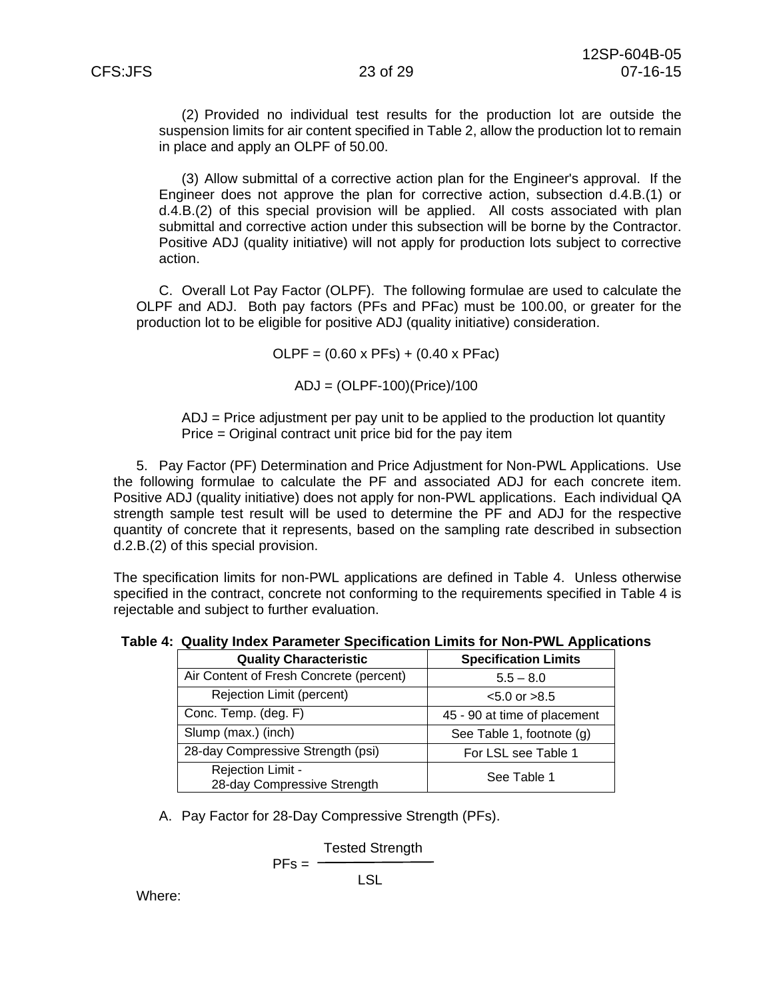(2) Provided no individual test results for the production lot are outside the suspension limits for air content specified in Table 2, allow the production lot to remain in place and apply an OLPF of 50.00.

(3) Allow submittal of a corrective action plan for the Engineer's approval. If the Engineer does not approve the plan for corrective action, subsection d.4.B.(1) or d.4.B.(2) of this special provision will be applied. All costs associated with plan submittal and corrective action under this subsection will be borne by the Contractor. Positive ADJ (quality initiative) will not apply for production lots subject to corrective action.

C. Overall Lot Pay Factor (OLPF). The following formulae are used to calculate the OLPF and ADJ. Both pay factors (PFs and PFac) must be 100.00, or greater for the production lot to be eligible for positive ADJ (quality initiative) consideration.

 $OLPF = (0.60 \times PFs) + (0.40 \times PFac)$ 

ADJ = (OLPF-100)(Price)/100

ADJ = Price adjustment per pay unit to be applied to the production lot quantity Price = Original contract unit price bid for the pay item

5. Pay Factor (PF) Determination and Price Adjustment for Non-PWL Applications. Use the following formulae to calculate the PF and associated ADJ for each concrete item. Positive ADJ (quality initiative) does not apply for non-PWL applications. Each individual QA strength sample test result will be used to determine the PF and ADJ for the respective quantity of concrete that it represents, based on the sampling rate described in subsection d.2.B.(2) of this special provision.

The specification limits for non-PWL applications are defined in Table 4. Unless otherwise specified in the contract, concrete not conforming to the requirements specified in Table 4 is rejectable and subject to further evaluation.

|  |  |  |  |  |  |  | Table 4: Quality Index Parameter Specification Limits for Non-PWL Applications |
|--|--|--|--|--|--|--|--------------------------------------------------------------------------------|
|--|--|--|--|--|--|--|--------------------------------------------------------------------------------|

| <b>Quality Characteristic</b>                    | <b>Specification Limits</b>  |
|--------------------------------------------------|------------------------------|
| Air Content of Fresh Concrete (percent)          | $5.5 - 8.0$                  |
| Rejection Limit (percent)                        | $< 5.0$ or $> 8.5$           |
| Conc. Temp. (deg. F)                             | 45 - 90 at time of placement |
| Slump (max.) (inch)                              | See Table 1, footnote (g)    |
| 28-day Compressive Strength (psi)                | For LSL see Table 1          |
| Rejection Limit -<br>28-day Compressive Strength | See Table 1                  |

A. Pay Factor for 28-Day Compressive Strength (PFs).

$$
PFs = \frac{Tested Strength}{LSL}
$$

Where: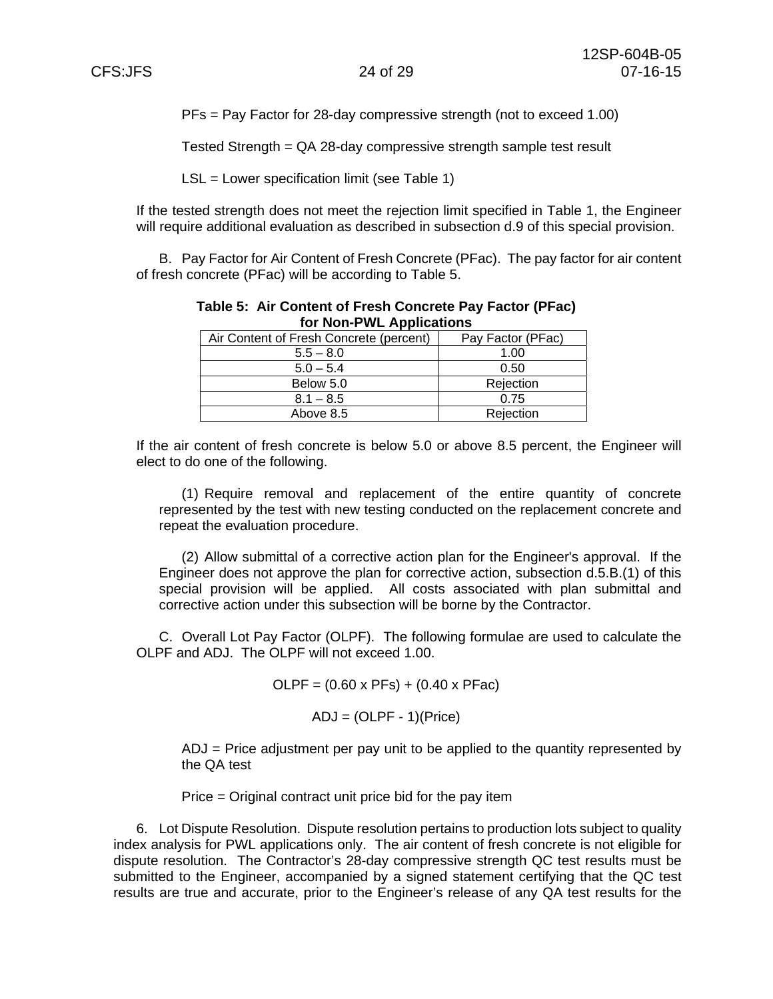PFs = Pay Factor for 28-day compressive strength (not to exceed 1.00)

Tested Strength = QA 28-day compressive strength sample test result

LSL = Lower specification limit (see Table 1)

If the tested strength does not meet the rejection limit specified in Table 1, the Engineer will require additional evaluation as described in subsection d.9 of this special provision.

B. Pay Factor for Air Content of Fresh Concrete (PFac). The pay factor for air content of fresh concrete (PFac) will be according to Table 5.

| <b>IUI NUII-F WL Applications</b>       |                   |  |  |  |
|-----------------------------------------|-------------------|--|--|--|
| Air Content of Fresh Concrete (percent) | Pay Factor (PFac) |  |  |  |
| $5.5 - 8.0$                             | 1.00              |  |  |  |
| $5.0 - 5.4$                             | 0.50              |  |  |  |
| Below 5.0                               | Rejection         |  |  |  |
| $8.1 - 8.5$                             | 0.75              |  |  |  |
| Above 8.5                               | Rejection         |  |  |  |

**Table 5: Air Content of Fresh Concrete Pay Factor (PFac) for Non-PWL Applications** 

If the air content of fresh concrete is below 5.0 or above 8.5 percent, the Engineer will elect to do one of the following.

(1) Require removal and replacement of the entire quantity of concrete represented by the test with new testing conducted on the replacement concrete and repeat the evaluation procedure.

(2) Allow submittal of a corrective action plan for the Engineer's approval. If the Engineer does not approve the plan for corrective action, subsection d.5.B.(1) of this special provision will be applied. All costs associated with plan submittal and corrective action under this subsection will be borne by the Contractor.

C. Overall Lot Pay Factor (OLPF). The following formulae are used to calculate the OLPF and ADJ. The OLPF will not exceed 1.00.

 $OLPF = (0.60 \times PFs) + (0.40 \times PFac)$ 

 $ADJ = (OLPF - 1)(Price)$ 

ADJ = Price adjustment per pay unit to be applied to the quantity represented by the QA test

Price = Original contract unit price bid for the pay item

6. Lot Dispute Resolution. Dispute resolution pertains to production lots subject to quality index analysis for PWL applications only. The air content of fresh concrete is not eligible for dispute resolution. The Contractor's 28-day compressive strength QC test results must be submitted to the Engineer, accompanied by a signed statement certifying that the QC test results are true and accurate, prior to the Engineer's release of any QA test results for the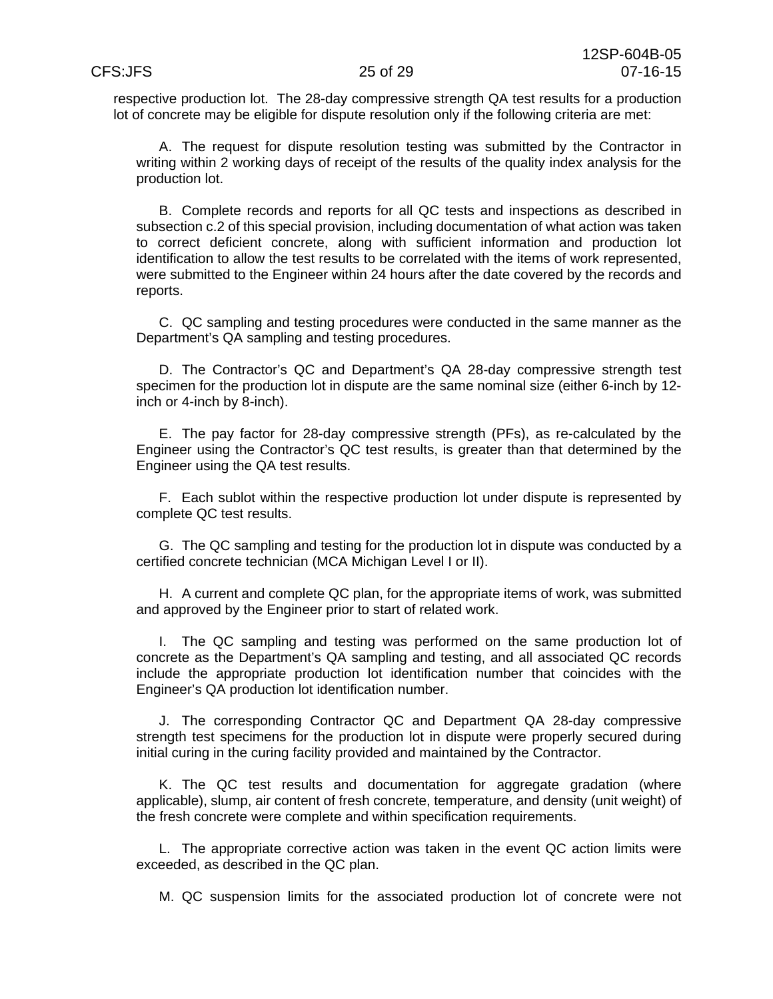respective production lot. The 28-day compressive strength QA test results for a production lot of concrete may be eligible for dispute resolution only if the following criteria are met:

A. The request for dispute resolution testing was submitted by the Contractor in writing within 2 working days of receipt of the results of the quality index analysis for the production lot.

B. Complete records and reports for all QC tests and inspections as described in subsection c.2 of this special provision, including documentation of what action was taken to correct deficient concrete, along with sufficient information and production lot identification to allow the test results to be correlated with the items of work represented, were submitted to the Engineer within 24 hours after the date covered by the records and reports.

C. QC sampling and testing procedures were conducted in the same manner as the Department's QA sampling and testing procedures.

D. The Contractor's QC and Department's QA 28-day compressive strength test specimen for the production lot in dispute are the same nominal size (either 6-inch by 12 inch or 4-inch by 8-inch).

E. The pay factor for 28-day compressive strength (PFs), as re-calculated by the Engineer using the Contractor's QC test results, is greater than that determined by the Engineer using the QA test results.

F. Each sublot within the respective production lot under dispute is represented by complete QC test results.

G. The QC sampling and testing for the production lot in dispute was conducted by a certified concrete technician (MCA Michigan Level I or II).

H. A current and complete QC plan, for the appropriate items of work, was submitted and approved by the Engineer prior to start of related work.

I. The QC sampling and testing was performed on the same production lot of concrete as the Department's QA sampling and testing, and all associated QC records include the appropriate production lot identification number that coincides with the Engineer's QA production lot identification number.

J. The corresponding Contractor QC and Department QA 28-day compressive strength test specimens for the production lot in dispute were properly secured during initial curing in the curing facility provided and maintained by the Contractor.

K. The QC test results and documentation for aggregate gradation (where applicable), slump, air content of fresh concrete, temperature, and density (unit weight) of the fresh concrete were complete and within specification requirements.

L. The appropriate corrective action was taken in the event QC action limits were exceeded, as described in the QC plan.

M. QC suspension limits for the associated production lot of concrete were not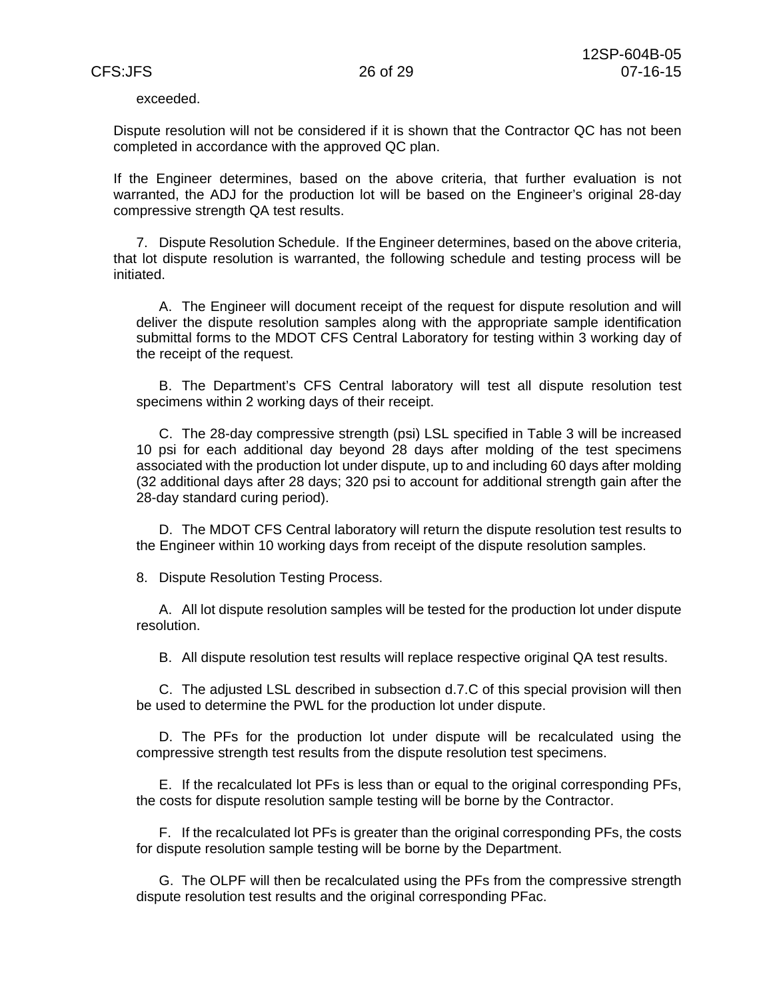exceeded.

Dispute resolution will not be considered if it is shown that the Contractor QC has not been completed in accordance with the approved QC plan.

If the Engineer determines, based on the above criteria, that further evaluation is not warranted, the ADJ for the production lot will be based on the Engineer's original 28-day compressive strength QA test results.

7. Dispute Resolution Schedule. If the Engineer determines, based on the above criteria, that lot dispute resolution is warranted, the following schedule and testing process will be initiated.

A. The Engineer will document receipt of the request for dispute resolution and will deliver the dispute resolution samples along with the appropriate sample identification submittal forms to the MDOT CFS Central Laboratory for testing within 3 working day of the receipt of the request.

B. The Department's CFS Central laboratory will test all dispute resolution test specimens within 2 working days of their receipt.

C. The 28-day compressive strength (psi) LSL specified in Table 3 will be increased 10 psi for each additional day beyond 28 days after molding of the test specimens associated with the production lot under dispute, up to and including 60 days after molding (32 additional days after 28 days; 320 psi to account for additional strength gain after the 28-day standard curing period).

D. The MDOT CFS Central laboratory will return the dispute resolution test results to the Engineer within 10 working days from receipt of the dispute resolution samples.

8. Dispute Resolution Testing Process.

A. All lot dispute resolution samples will be tested for the production lot under dispute resolution.

B. All dispute resolution test results will replace respective original QA test results.

C. The adjusted LSL described in subsection d.7.C of this special provision will then be used to determine the PWL for the production lot under dispute.

D. The PFs for the production lot under dispute will be recalculated using the compressive strength test results from the dispute resolution test specimens.

E. If the recalculated lot PFs is less than or equal to the original corresponding PFs, the costs for dispute resolution sample testing will be borne by the Contractor.

F. If the recalculated lot PFs is greater than the original corresponding PFs, the costs for dispute resolution sample testing will be borne by the Department.

G. The OLPF will then be recalculated using the PFs from the compressive strength dispute resolution test results and the original corresponding PFac.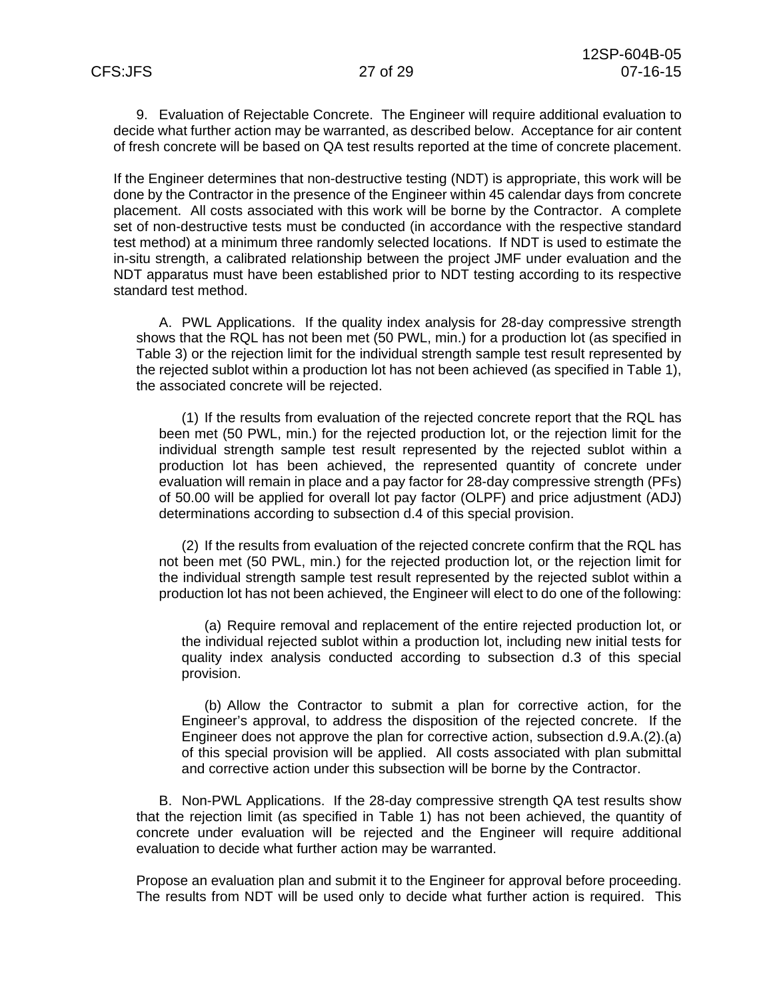9. Evaluation of Rejectable Concrete. The Engineer will require additional evaluation to decide what further action may be warranted, as described below. Acceptance for air content of fresh concrete will be based on QA test results reported at the time of concrete placement.

If the Engineer determines that non-destructive testing (NDT) is appropriate, this work will be done by the Contractor in the presence of the Engineer within 45 calendar days from concrete placement. All costs associated with this work will be borne by the Contractor. A complete set of non-destructive tests must be conducted (in accordance with the respective standard test method) at a minimum three randomly selected locations. If NDT is used to estimate the in-situ strength, a calibrated relationship between the project JMF under evaluation and the NDT apparatus must have been established prior to NDT testing according to its respective standard test method.

A. PWL Applications. If the quality index analysis for 28-day compressive strength shows that the RQL has not been met (50 PWL, min.) for a production lot (as specified in Table 3) or the rejection limit for the individual strength sample test result represented by the rejected sublot within a production lot has not been achieved (as specified in Table 1), the associated concrete will be rejected.

(1) If the results from evaluation of the rejected concrete report that the RQL has been met (50 PWL, min.) for the rejected production lot, or the rejection limit for the individual strength sample test result represented by the rejected sublot within a production lot has been achieved, the represented quantity of concrete under evaluation will remain in place and a pay factor for 28-day compressive strength (PFs) of 50.00 will be applied for overall lot pay factor (OLPF) and price adjustment (ADJ) determinations according to subsection d.4 of this special provision.

(2) If the results from evaluation of the rejected concrete confirm that the RQL has not been met (50 PWL, min.) for the rejected production lot, or the rejection limit for the individual strength sample test result represented by the rejected sublot within a production lot has not been achieved, the Engineer will elect to do one of the following:

(a) Require removal and replacement of the entire rejected production lot, or the individual rejected sublot within a production lot, including new initial tests for quality index analysis conducted according to subsection d.3 of this special provision.

(b) Allow the Contractor to submit a plan for corrective action, for the Engineer's approval, to address the disposition of the rejected concrete. If the Engineer does not approve the plan for corrective action, subsection d.9.A.(2).(a) of this special provision will be applied. All costs associated with plan submittal and corrective action under this subsection will be borne by the Contractor.

B. Non-PWL Applications. If the 28-day compressive strength QA test results show that the rejection limit (as specified in Table 1) has not been achieved, the quantity of concrete under evaluation will be rejected and the Engineer will require additional evaluation to decide what further action may be warranted.

Propose an evaluation plan and submit it to the Engineer for approval before proceeding. The results from NDT will be used only to decide what further action is required. This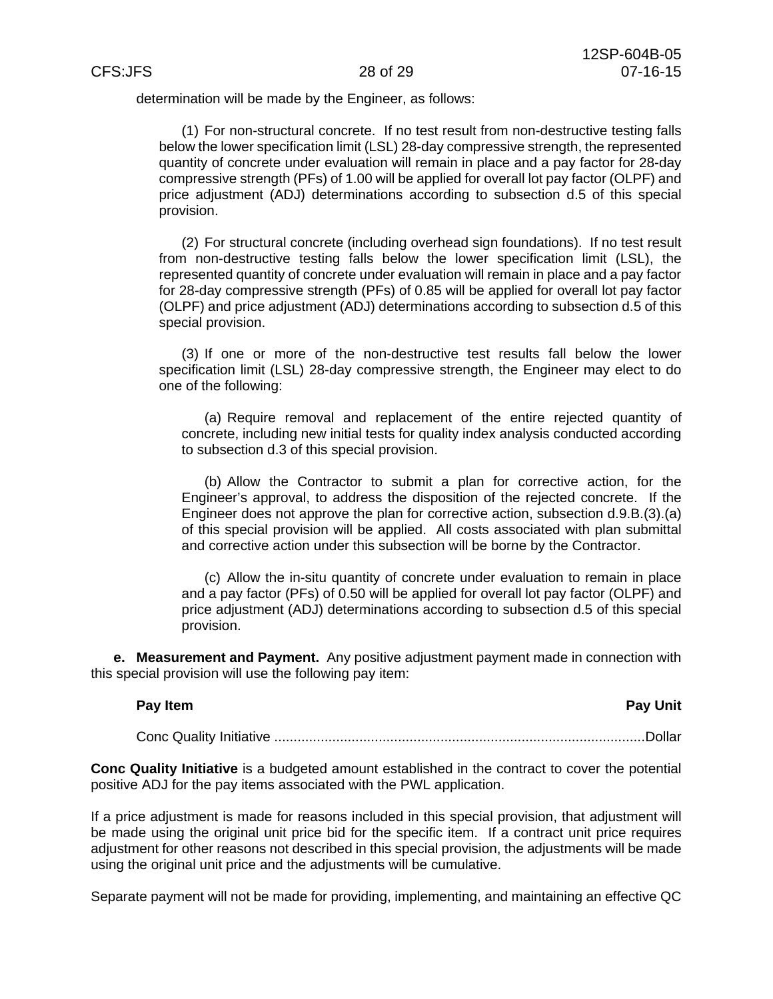determination will be made by the Engineer, as follows:

(1) For non-structural concrete. If no test result from non-destructive testing falls below the lower specification limit (LSL) 28-day compressive strength, the represented quantity of concrete under evaluation will remain in place and a pay factor for 28-day compressive strength (PFs) of 1.00 will be applied for overall lot pay factor (OLPF) and price adjustment (ADJ) determinations according to subsection d.5 of this special provision.

(2) For structural concrete (including overhead sign foundations). If no test result from non-destructive testing falls below the lower specification limit (LSL), the represented quantity of concrete under evaluation will remain in place and a pay factor for 28-day compressive strength (PFs) of 0.85 will be applied for overall lot pay factor (OLPF) and price adjustment (ADJ) determinations according to subsection d.5 of this special provision.

(3) If one or more of the non-destructive test results fall below the lower specification limit (LSL) 28-day compressive strength, the Engineer may elect to do one of the following:

(a) Require removal and replacement of the entire rejected quantity of concrete, including new initial tests for quality index analysis conducted according to subsection d.3 of this special provision.

(b) Allow the Contractor to submit a plan for corrective action, for the Engineer's approval, to address the disposition of the rejected concrete. If the Engineer does not approve the plan for corrective action, subsection d.9.B.(3).(a) of this special provision will be applied. All costs associated with plan submittal and corrective action under this subsection will be borne by the Contractor.

(c) Allow the in-situ quantity of concrete under evaluation to remain in place and a pay factor (PFs) of 0.50 will be applied for overall lot pay factor (OLPF) and price adjustment (ADJ) determinations according to subsection d.5 of this special provision.

**e. Measurement and Payment.** Any positive adjustment payment made in connection with this special provision will use the following pay item:

| Pay Item | <b>Pay Unit</b> |
|----------|-----------------|
|          |                 |

Conc Quality Initiative ................................................................................................ Dollar

**Conc Quality Initiative** is a budgeted amount established in the contract to cover the potential positive ADJ for the pay items associated with the PWL application.

If a price adjustment is made for reasons included in this special provision, that adjustment will be made using the original unit price bid for the specific item. If a contract unit price requires adjustment for other reasons not described in this special provision, the adjustments will be made using the original unit price and the adjustments will be cumulative.

Separate payment will not be made for providing, implementing, and maintaining an effective QC